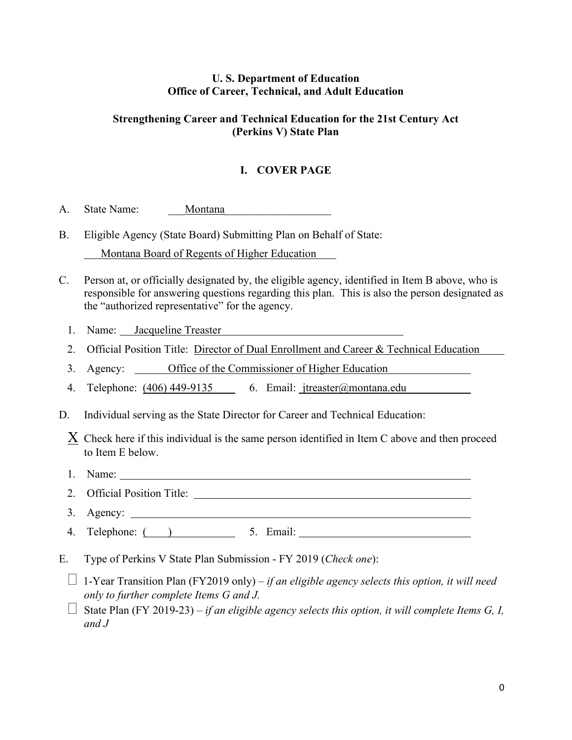## **U. S. Department of Education Office of Career, Technical, and Adult Education**

## **Strengthening Career and Technical Education for the 21st Century Act (Perkins V) State Plan**

## **I. COVER PAGE**

- A. State Name: Montana
- B. Eligible Agency (State Board) Submitting Plan on Behalf of State: Montana Board of Regents of Higher Education
- C. Person at, or officially designated by, the eligible agency, identified in Item B above, who is responsible for answering questions regarding this plan. This is also the person designated as the "authorized representative" for the agency.
	- 1. Name: Jacqueline Treaster
	- 2. Official Position Title: Director of Dual Enrollment and Career & Technical Education
	- 3. Agency: Office of the Commissioner of Higher Education
	- 4. Telephone: (406) 449-9135 6. Email: jtreaster@montana.edu
- D. Individual serving as the State Director for Career and Technical Education:

 $X$  Check here if this individual is the same person identified in Item C above and then proceed to Item E below.

- 1. Name:
- 2. Official Position Title:
- 3. Agency:
- 4. Telephone:  $($   $)$  5. Email: 5. Email:  $\frac{1}{2}$  5. Email:  $\frac{1}{2}$  5. Email:  $\frac{1}{2}$  5. Email:  $\frac{1}{2}$  5. Email:  $\frac{1}{2}$  5. Email:  $\frac{1}{2}$  5. Email:  $\frac{1}{2}$  5. Email:  $\frac{1}{2}$  5. Email:  $\frac{1}{2}$  5. Ema
- E. Type of Perkins V State Plan Submission FY 2019 (*Check one*):
	- $\Box$  1-Year Transition Plan (FY2019 only) *if an eligible agency selects this option, it will need only to further complete Items G and J.*
	- $\Box$  State Plan (FY 2019-23) *if an eligible agency selects this option, it will complete Items G, I, and J*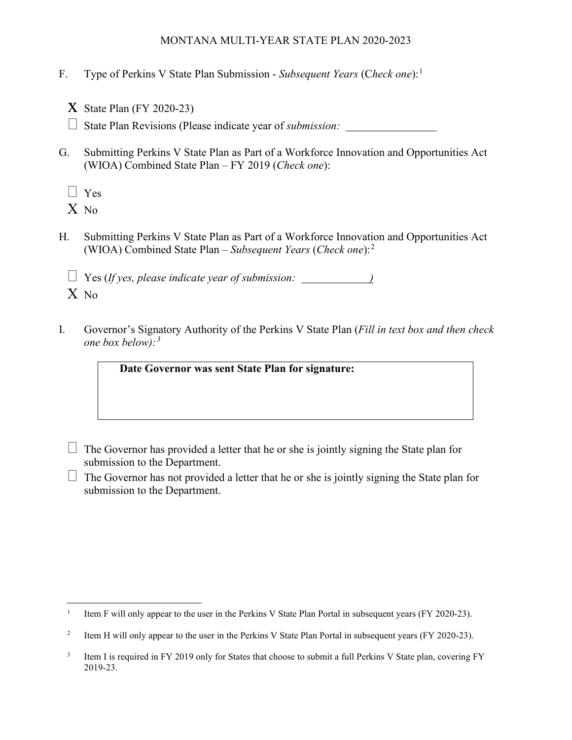- F. Type of Perkins V State Plan Submission *Subsequent Years* (C*heck one*):[1](#page-1-0)
	- $X$  State Plan (FY 2020-23)

State Plan Revisions (Please indicate year of *submission:* 

G. Submitting Perkins V State Plan as Part of a Workforce Innovation and Opportunities Act (WIOA) Combined State Plan – FY 2019 (*Check one*):

 $\Box$  Yes

X No

H. Submitting Perkins V State Plan as Part of a Workforce Innovation and Opportunities Act (WIOA) Combined State Plan – *Subsequent Years* (*Check one*):[2](#page-1-1)

 Yes (*If yes, please indicate year of submission: )* X No

I. Governor's Signatory Authority of the Perkins V State Plan (*Fill in text box and then check one box below):[3](#page-1-2)*

**Date Governor was sent State Plan for signature:** 

- $\Box$  The Governor has provided a letter that he or she is jointly signing the State plan for submission to the Department.
- $\Box$  The Governor has not provided a letter that he or she is jointly signing the State plan for submission to the Department.

<span id="page-1-0"></span><sup>&</sup>lt;sup>1</sup> Item F will only appear to the user in the Perkins V State Plan Portal in subsequent years (FY 2020-23).

<span id="page-1-1"></span><sup>&</sup>lt;sup>2</sup> Item H will only appear to the user in the Perkins V State Plan Portal in subsequent years (FY 2020-23).

<span id="page-1-2"></span><sup>&</sup>lt;sup>3</sup> Item I is required in FY 2019 only for States that choose to submit a full Perkins V State plan, covering FY 2019-23.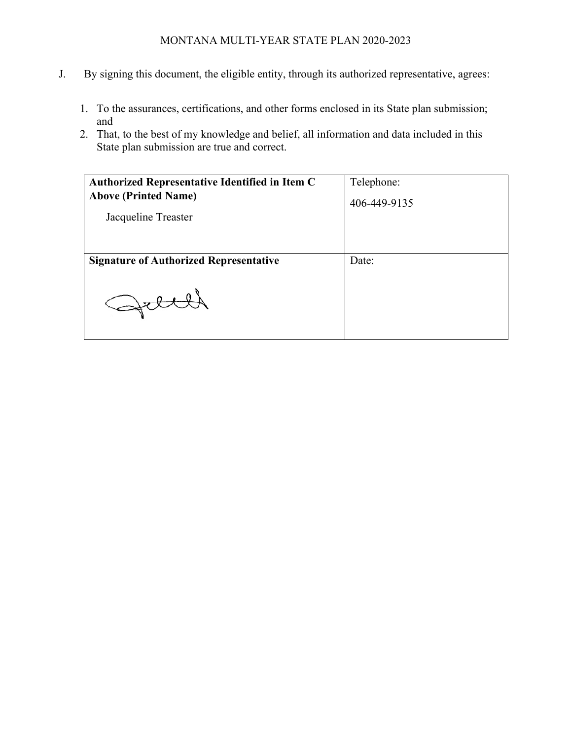- J. By signing this document, the eligible entity, through its authorized representative, agrees:
	- 1. To the assurances, certifications, and other forms enclosed in its State plan submission; and
	- 2. That, to the best of my knowledge and belief, all information and data included in this State plan submission are true and correct.

| <b>Authorized Representative Identified in Item C</b> | Telephone:   |
|-------------------------------------------------------|--------------|
| <b>Above (Printed Name)</b>                           | 406-449-9135 |
| Jacqueline Treaster                                   |              |
|                                                       |              |
|                                                       |              |
| <b>Signature of Authorized Representative</b>         | Date:        |
|                                                       |              |
|                                                       |              |
|                                                       |              |
|                                                       |              |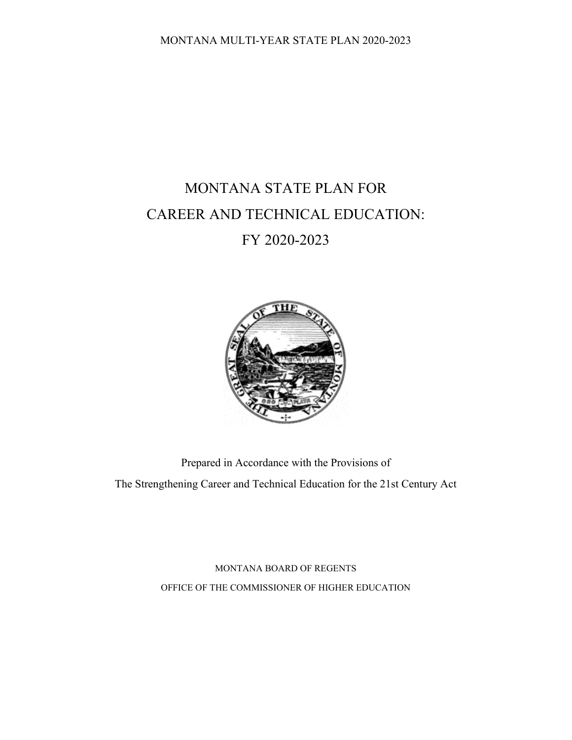# MONTANA STATE PLAN FOR CAREER AND TECHNICAL EDUCATION: FY 2020-2023



Prepared in Accordance with the Provisions of The Strengthening Career and Technical Education for the 21st Century Act

> MONTANA BOARD OF REGENTS OFFICE OF THE COMMISSIONER OF HIGHER EDUCATION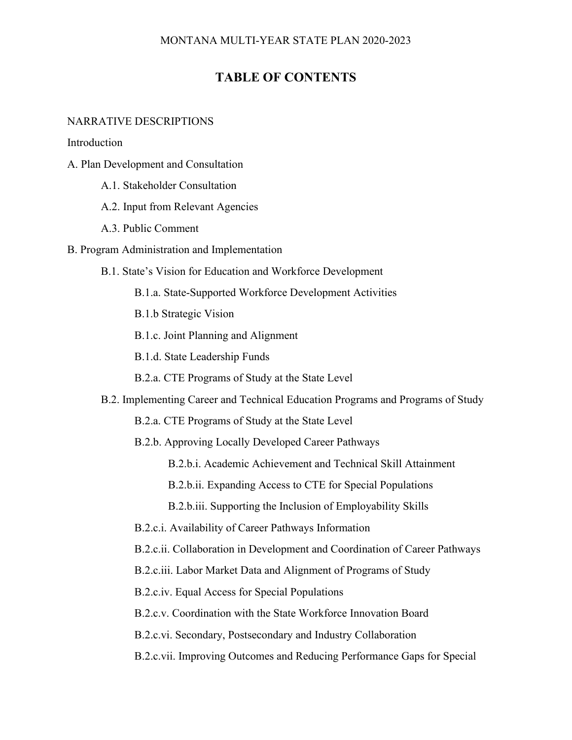# **TABLE OF CONTENTS**

#### NARRATIVE DESCRIPTIONS

Introduction

- A. Plan Development and Consultation
	- A.1. Stakeholder Consultation
	- A.2. Input from Relevant Agencies
	- A.3. Public Comment
- B. Program Administration and Implementation
	- B.1. State's Vision for Education and Workforce Development
		- B.1.a. State-Supported Workforce Development Activities
		- B.1.b Strategic Vision
		- B.1.c. Joint Planning and Alignment
		- B.1.d. State Leadership Funds
		- B.2.a. CTE Programs of Study at the State Level
	- B.2. Implementing Career and Technical Education Programs and Programs of Study
		- B.2.a. CTE Programs of Study at the State Level
		- B.2.b. Approving Locally Developed Career Pathways
			- B.2.b.i. Academic Achievement and Technical Skill Attainment
			- B.2.b.ii. Expanding Access to CTE for Special Populations
			- B.2.b.iii. Supporting the Inclusion of Employability Skills
		- B.2.c.i. Availability of Career Pathways Information
		- B.2.c.ii. Collaboration in Development and Coordination of Career Pathways
		- B.2.c.iii. Labor Market Data and Alignment of Programs of Study
		- B.2.c.iv. Equal Access for Special Populations
		- B.2.c.v. Coordination with the State Workforce Innovation Board
		- B.2.c.vi. Secondary, Postsecondary and Industry Collaboration
		- B.2.c.vii. Improving Outcomes and Reducing Performance Gaps for Special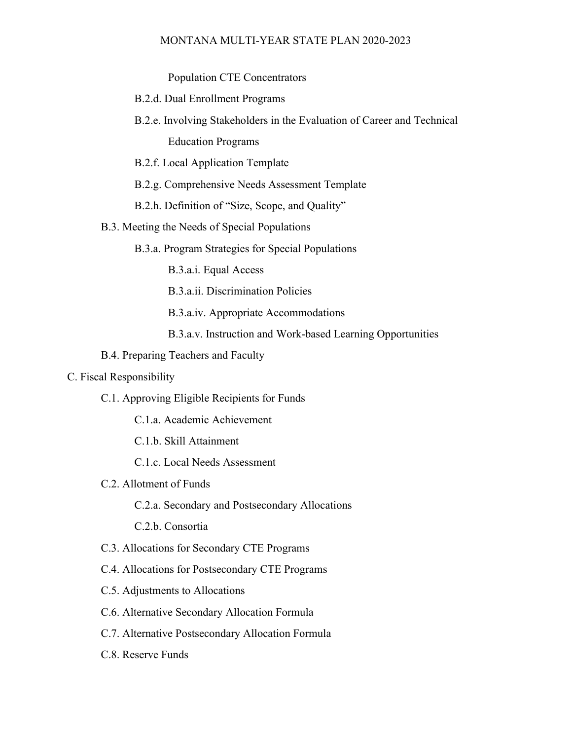Population CTE Concentrators

- B.2.d. Dual Enrollment Programs
- B.2.e. Involving Stakeholders in the Evaluation of Career and Technical Education Programs
- B.2.f. Local Application Template
- B.2.g. Comprehensive Needs Assessment Template
- B.2.h. Definition of "Size, Scope, and Quality"
- B.3. Meeting the Needs of Special Populations
	- B.3.a. Program Strategies for Special Populations
		- B.3.a.i. Equal Access
		- B.3.a.ii. Discrimination Policies
		- B.3.a.iv. Appropriate Accommodations
		- B.3.a.v. Instruction and Work-based Learning Opportunities
- B.4. Preparing Teachers and Faculty

#### C. Fiscal Responsibility

- C.1. Approving Eligible Recipients for Funds
	- C.1.a. Academic Achievement
	- C.1.b. Skill Attainment
	- C.1.c. Local Needs Assessment
- C.2. Allotment of Funds
	- C.2.a. Secondary and Postsecondary Allocations
	- C.2.b. Consortia
- C.3. Allocations for Secondary CTE Programs
- C.4. Allocations for Postsecondary CTE Programs
- C.5. Adjustments to Allocations
- C.6. Alternative Secondary Allocation Formula
- C.7. Alternative Postsecondary Allocation Formula
- C.8. Reserve Funds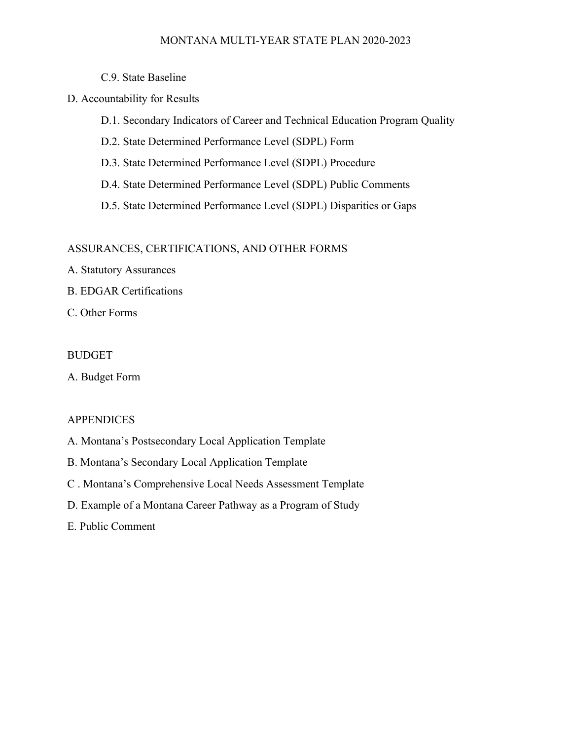- C.9. State Baseline
- D. Accountability for Results

D.1. Secondary Indicators of Career and Technical Education Program Quality

- D.2. State Determined Performance Level (SDPL) Form
- D.3. State Determined Performance Level (SDPL) Procedure
- D.4. State Determined Performance Level (SDPL) Public Comments
- D.5. State Determined Performance Level (SDPL) Disparities or Gaps

#### ASSURANCES, CERTIFICATIONS, AND OTHER FORMS

- A. Statutory Assurances
- B. EDGAR Certifications
- C. Other Forms

#### BUDGET

A. Budget Form

#### APPENDICES

- A. Montana's Postsecondary Local Application Template
- B. Montana's Secondary Local Application Template
- C . Montana's Comprehensive Local Needs Assessment Template
- D. Example of a Montana Career Pathway as a Program of Study

#### E. Public Comment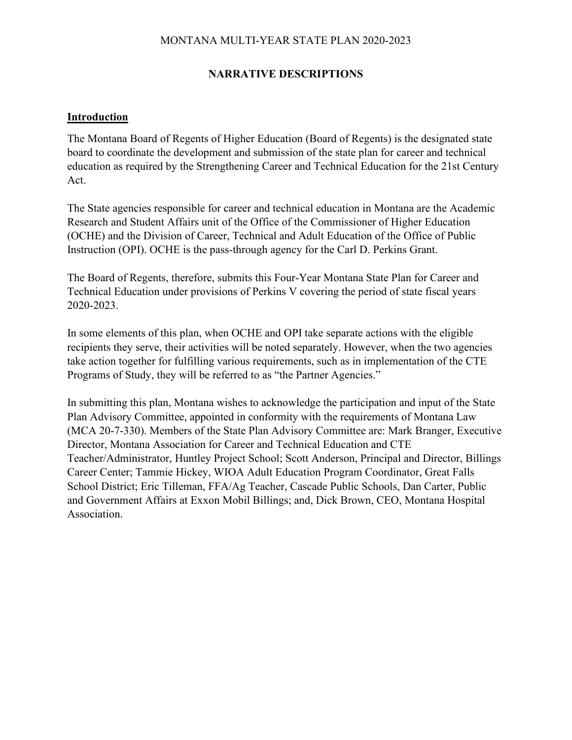## **NARRATIVE DESCRIPTIONS**

### **Introduction**

The Montana Board of Regents of Higher Education (Board of Regents) is the designated state board to coordinate the development and submission of the state plan for career and technical education as required by the Strengthening Career and Technical Education for the 21st Century Act.

The State agencies responsible for career and technical education in Montana are the Academic Research and Student Affairs unit of the Office of the Commissioner of Higher Education (OCHE) and the Division of Career, Technical and Adult Education of the Office of Public Instruction (OPI). OCHE is the pass-through agency for the Carl D. Perkins Grant.

The Board of Regents, therefore, submits this Four-Year Montana State Plan for Career and Technical Education under provisions of Perkins V covering the period of state fiscal years 2020-2023.

In some elements of this plan, when OCHE and OPI take separate actions with the eligible recipients they serve, their activities will be noted separately. However, when the two agencies take action together for fulfilling various requirements, such as in implementation of the CTE Programs of Study, they will be referred to as "the Partner Agencies."

In submitting this plan, Montana wishes to acknowledge the participation and input of the State Plan Advisory Committee, appointed in conformity with the requirements of Montana Law (MCA 20-7-330). Members of the State Plan Advisory Committee are: Mark Branger, Executive Director, Montana Association for Career and Technical Education and CTE Teacher/Administrator, Huntley Project School; Scott Anderson, Principal and Director, Billings Career Center; Tammie Hickey, WIOA Adult Education Program Coordinator, Great Falls School District; Eric Tilleman, FFA/Ag Teacher, Cascade Public Schools, Dan Carter, Public and Government Affairs at Exxon Mobil Billings; and, Dick Brown, CEO, Montana Hospital Association.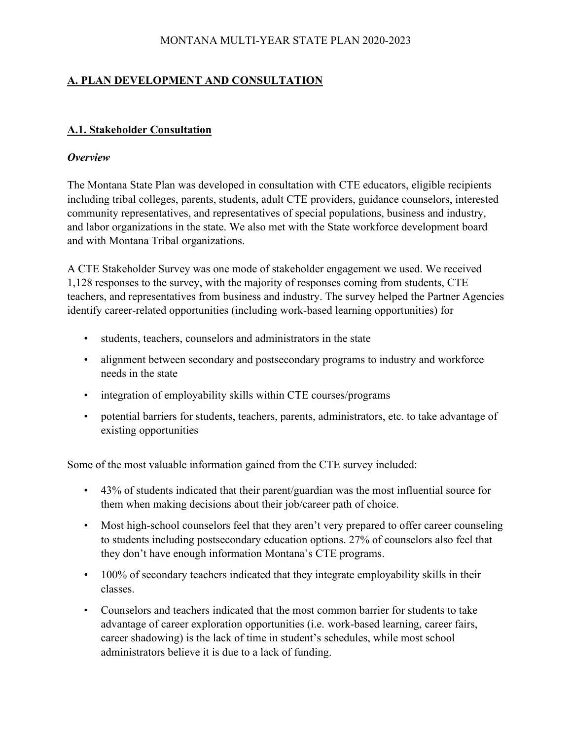# **A. PLAN DEVELOPMENT AND CONSULTATION**

## **A.1. Stakeholder Consultation**

### *Overview*

The Montana State Plan was developed in consultation with CTE educators, eligible recipients including tribal colleges, parents, students, adult CTE providers, guidance counselors, interested community representatives, and representatives of special populations, business and industry, and labor organizations in the state. We also met with the State workforce development board and with Montana Tribal organizations.

A CTE Stakeholder Survey was one mode of stakeholder engagement we used. We received 1,128 responses to the survey, with the majority of responses coming from students, CTE teachers, and representatives from business and industry. The survey helped the Partner Agencies identify career-related opportunities (including work-based learning opportunities) for

- students, teachers, counselors and administrators in the state
- alignment between secondary and postsecondary programs to industry and workforce needs in the state
- integration of employability skills within CTE courses/programs
- potential barriers for students, teachers, parents, administrators, etc. to take advantage of existing opportunities

Some of the most valuable information gained from the CTE survey included:

- 43% of students indicated that their parent/guardian was the most influential source for them when making decisions about their job/career path of choice.
- Most high-school counselors feel that they aren't very prepared to offer career counseling to students including postsecondary education options. 27% of counselors also feel that they don't have enough information Montana's CTE programs.
- 100% of secondary teachers indicated that they integrate employability skills in their classes.
- Counselors and teachers indicated that the most common barrier for students to take advantage of career exploration opportunities (i.e. work-based learning, career fairs, career shadowing) is the lack of time in student's schedules, while most school administrators believe it is due to a lack of funding.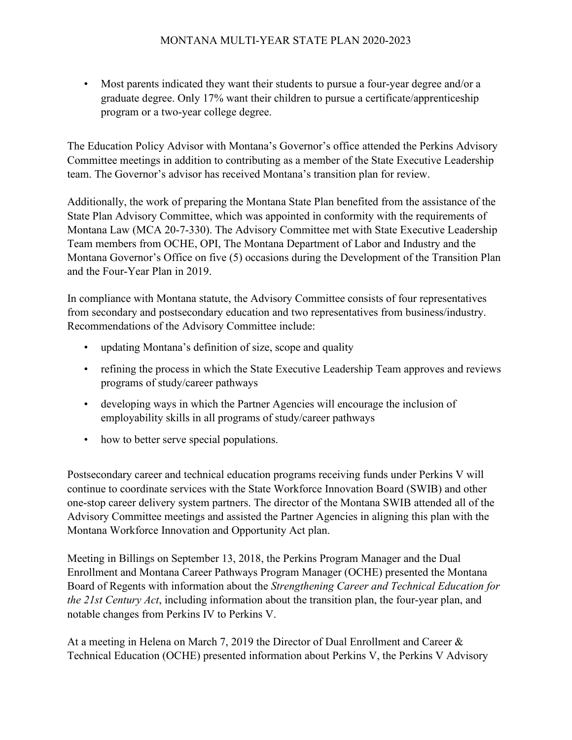• Most parents indicated they want their students to pursue a four-year degree and/or a graduate degree. Only 17% want their children to pursue a certificate/apprenticeship program or a two-year college degree.

The Education Policy Advisor with Montana's Governor's office attended the Perkins Advisory Committee meetings in addition to contributing as a member of the State Executive Leadership team. The Governor's advisor has received Montana's transition plan for review.

Additionally, the work of preparing the Montana State Plan benefited from the assistance of the State Plan Advisory Committee, which was appointed in conformity with the requirements of Montana Law (MCA 20-7-330). The Advisory Committee met with State Executive Leadership Team members from OCHE, OPI, The Montana Department of Labor and Industry and the Montana Governor's Office on five (5) occasions during the Development of the Transition Plan and the Four-Year Plan in 2019.

In compliance with Montana statute, the Advisory Committee consists of four representatives from secondary and postsecondary education and two representatives from business/industry. Recommendations of the Advisory Committee include:

- updating Montana's definition of size, scope and quality
- refining the process in which the State Executive Leadership Team approves and reviews programs of study/career pathways
- developing ways in which the Partner Agencies will encourage the inclusion of employability skills in all programs of study/career pathways
- how to better serve special populations.

Postsecondary career and technical education programs receiving funds under Perkins V will continue to coordinate services with the State Workforce Innovation Board (SWIB) and other one-stop career delivery system partners. The director of the Montana SWIB attended all of the Advisory Committee meetings and assisted the Partner Agencies in aligning this plan with the Montana Workforce Innovation and Opportunity Act plan.

Meeting in Billings on September 13, 2018, the Perkins Program Manager and the Dual Enrollment and Montana Career Pathways Program Manager (OCHE) presented the Montana Board of Regents with information about the *Strengthening Career and Technical Education for the 21st Century Act*, including information about the transition plan, the four-year plan, and notable changes from Perkins IV to Perkins V.

At a meeting in Helena on March 7, 2019 the Director of Dual Enrollment and Career & Technical Education (OCHE) presented information about Perkins V, the Perkins V Advisory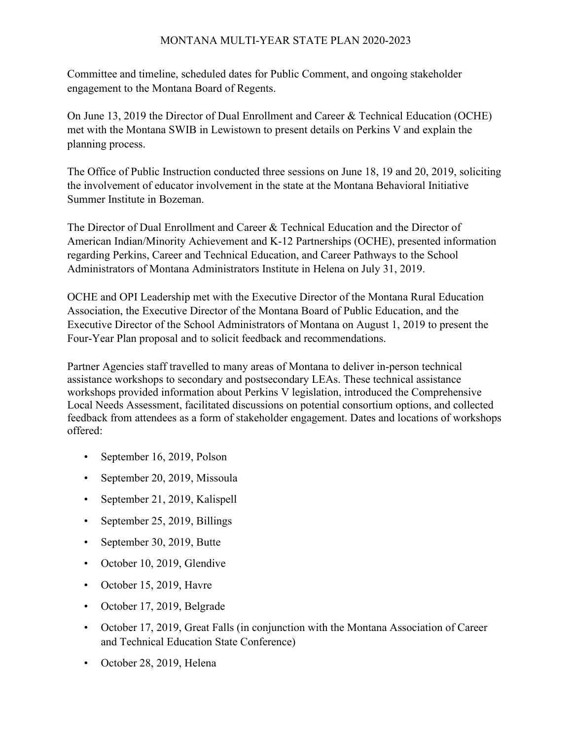Committee and timeline, scheduled dates for Public Comment, and ongoing stakeholder engagement to the Montana Board of Regents.

On June 13, 2019 the Director of Dual Enrollment and Career & Technical Education (OCHE) met with the Montana SWIB in Lewistown to present details on Perkins V and explain the planning process.

The Office of Public Instruction conducted three sessions on June 18, 19 and 20, 2019, soliciting the involvement of educator involvement in the state at the Montana Behavioral Initiative Summer Institute in Bozeman.

The Director of Dual Enrollment and Career & Technical Education and the Director of American Indian/Minority Achievement and K-12 Partnerships (OCHE), presented information regarding Perkins, Career and Technical Education, and Career Pathways to the School Administrators of Montana Administrators Institute in Helena on July 31, 2019.

OCHE and OPI Leadership met with the Executive Director of the Montana Rural Education Association, the Executive Director of the Montana Board of Public Education, and the Executive Director of the School Administrators of Montana on August 1, 2019 to present the Four-Year Plan proposal and to solicit feedback and recommendations.

Partner Agencies staff travelled to many areas of Montana to deliver in-person technical assistance workshops to secondary and postsecondary LEAs. These technical assistance workshops provided information about Perkins V legislation, introduced the Comprehensive Local Needs Assessment, facilitated discussions on potential consortium options, and collected feedback from attendees as a form of stakeholder engagement. Dates and locations of workshops offered:

- September 16, 2019, Polson
- September 20, 2019, Missoula
- September 21, 2019, Kalispell
- September 25, 2019, Billings
- September 30, 2019, Butte
- October 10, 2019, Glendive
- October 15, 2019, Havre
- October 17, 2019, Belgrade
- October 17, 2019, Great Falls (in conjunction with the Montana Association of Career and Technical Education State Conference)
- October 28, 2019, Helena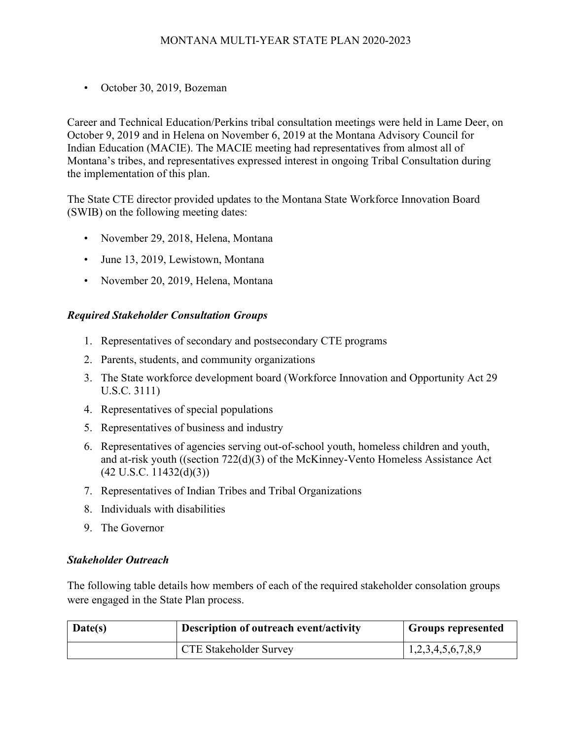• October 30, 2019, Bozeman

Career and Technical Education/Perkins tribal consultation meetings were held in Lame Deer, on October 9, 2019 and in Helena on November 6, 2019 at the Montana Advisory Council for Indian Education (MACIE). The MACIE meeting had representatives from almost all of Montana's tribes, and representatives expressed interest in ongoing Tribal Consultation during the implementation of this plan.

The State CTE director provided updates to the Montana State Workforce Innovation Board (SWIB) on the following meeting dates:

- November 29, 2018, Helena, Montana
- June 13, 2019, Lewistown, Montana
- November 20, 2019, Helena, Montana

## *Required Stakeholder Consultation Groups*

- 1. Representatives of secondary and postsecondary CTE programs
- 2. Parents, students, and community organizations
- 3. The State workforce development board (Workforce Innovation and Opportunity Act 29 U.S.C. 3111)
- 4. Representatives of special populations
- 5. Representatives of business and industry
- 6. Representatives of agencies serving out-of-school youth, homeless children and youth, and at-risk youth ((section 722(d)(3) of the McKinney-Vento Homeless Assistance Act (42 U.S.C. 11432(d)(3))
- 7. Representatives of Indian Tribes and Tribal Organizations
- 8. Individuals with disabilities
- 9. The Governor

## *Stakeholder Outreach*

The following table details how members of each of the required stakeholder consolation groups were engaged in the State Plan process.

| Date(s) | Description of outreach event/activity | <b>Groups represented</b> |  |
|---------|----------------------------------------|---------------------------|--|
|         | <b>CTE Stakeholder Survey</b>          | 1,2,3,4,5,6,7,8,9         |  |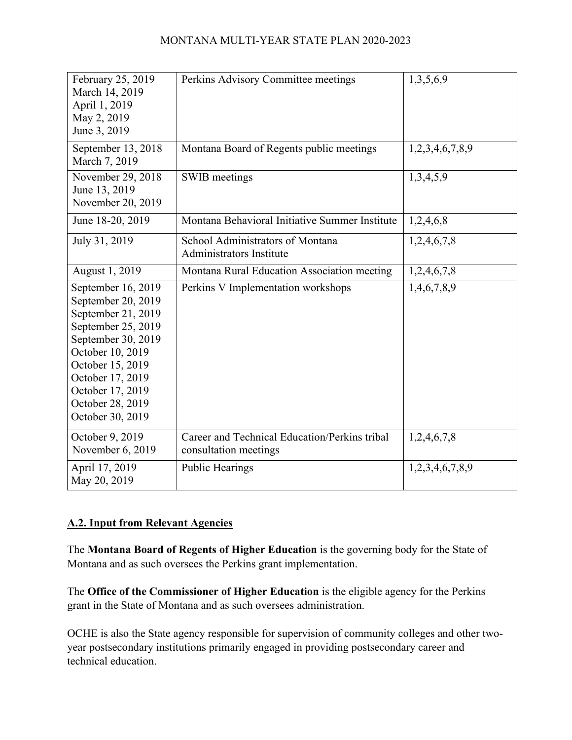| February 25, 2019<br>March 14, 2019<br>April 1, 2019<br>May 2, 2019<br>June 3, 2019                                                                                                                                                | Perkins Advisory Committee meetings                                    | 1,3,5,6,9       |
|------------------------------------------------------------------------------------------------------------------------------------------------------------------------------------------------------------------------------------|------------------------------------------------------------------------|-----------------|
| September 13, 2018<br>March 7, 2019                                                                                                                                                                                                | Montana Board of Regents public meetings                               | 1,2,3,4,6,7,8,9 |
| November 29, 2018<br>June 13, 2019<br>November 20, 2019                                                                                                                                                                            | SWIB meetings                                                          | 1,3,4,5,9       |
| June 18-20, 2019                                                                                                                                                                                                                   | Montana Behavioral Initiative Summer Institute                         | 1,2,4,6,8       |
| July 31, 2019                                                                                                                                                                                                                      | School Administrators of Montana<br><b>Administrators Institute</b>    | 1,2,4,6,7,8     |
| August 1, 2019                                                                                                                                                                                                                     | Montana Rural Education Association meeting                            | 1,2,4,6,7,8     |
| September 16, 2019<br>September 20, 2019<br>September 21, 2019<br>September 25, 2019<br>September 30, 2019<br>October 10, 2019<br>October 15, 2019<br>October 17, 2019<br>October 17, 2019<br>October 28, 2019<br>October 30, 2019 | Perkins V Implementation workshops                                     | 1,4,6,7,8,9     |
| October 9, 2019<br>November 6, 2019                                                                                                                                                                                                | Career and Technical Education/Perkins tribal<br>consultation meetings | 1,2,4,6,7,8     |
| April 17, 2019<br>May 20, 2019                                                                                                                                                                                                     | <b>Public Hearings</b>                                                 | 1,2,3,4,6,7,8,9 |

# **A.2. Input from Relevant Agencies**

The **Montana Board of Regents of Higher Education** is the governing body for the State of Montana and as such oversees the Perkins grant implementation.

The **Office of the Commissioner of Higher Education** is the eligible agency for the Perkins grant in the State of Montana and as such oversees administration.

OCHE is also the State agency responsible for supervision of community colleges and other twoyear postsecondary institutions primarily engaged in providing postsecondary career and technical education.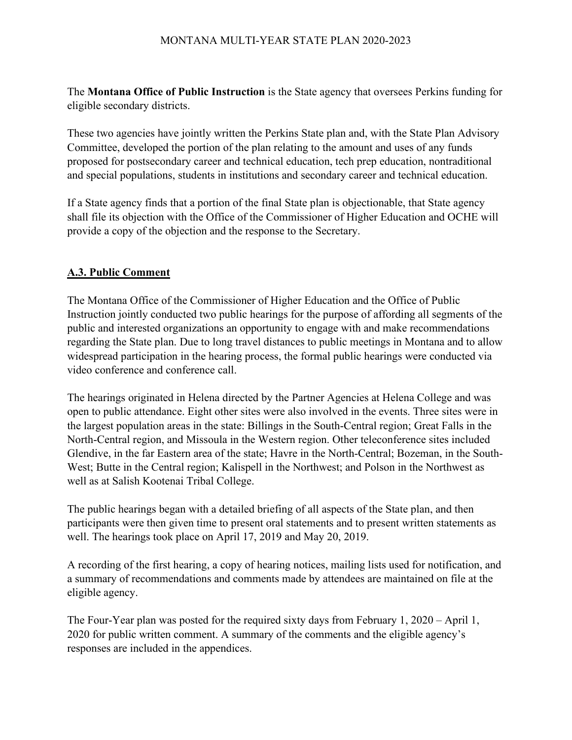The **Montana Office of Public Instruction** is the State agency that oversees Perkins funding for eligible secondary districts.

These two agencies have jointly written the Perkins State plan and, with the State Plan Advisory Committee, developed the portion of the plan relating to the amount and uses of any funds proposed for postsecondary career and technical education, tech prep education, nontraditional and special populations, students in institutions and secondary career and technical education.

If a State agency finds that a portion of the final State plan is objectionable, that State agency shall file its objection with the Office of the Commissioner of Higher Education and OCHE will provide a copy of the objection and the response to the Secretary.

# **A.3. Public Comment**

The Montana Office of the Commissioner of Higher Education and the Office of Public Instruction jointly conducted two public hearings for the purpose of affording all segments of the public and interested organizations an opportunity to engage with and make recommendations regarding the State plan. Due to long travel distances to public meetings in Montana and to allow widespread participation in the hearing process, the formal public hearings were conducted via video conference and conference call.

The hearings originated in Helena directed by the Partner Agencies at Helena College and was open to public attendance. Eight other sites were also involved in the events. Three sites were in the largest population areas in the state: Billings in the South-Central region; Great Falls in the North-Central region, and Missoula in the Western region. Other teleconference sites included Glendive, in the far Eastern area of the state; Havre in the North-Central; Bozeman, in the South-West; Butte in the Central region; Kalispell in the Northwest; and Polson in the Northwest as well as at Salish Kootenai Tribal College.

The public hearings began with a detailed briefing of all aspects of the State plan, and then participants were then given time to present oral statements and to present written statements as well. The hearings took place on April 17, 2019 and May 20, 2019.

A recording of the first hearing, a copy of hearing notices, mailing lists used for notification, and a summary of recommendations and comments made by attendees are maintained on file at the eligible agency.

The Four-Year plan was posted for the required sixty days from February 1, 2020 – April 1, 2020 for public written comment. A summary of the comments and the eligible agency's responses are included in the appendices.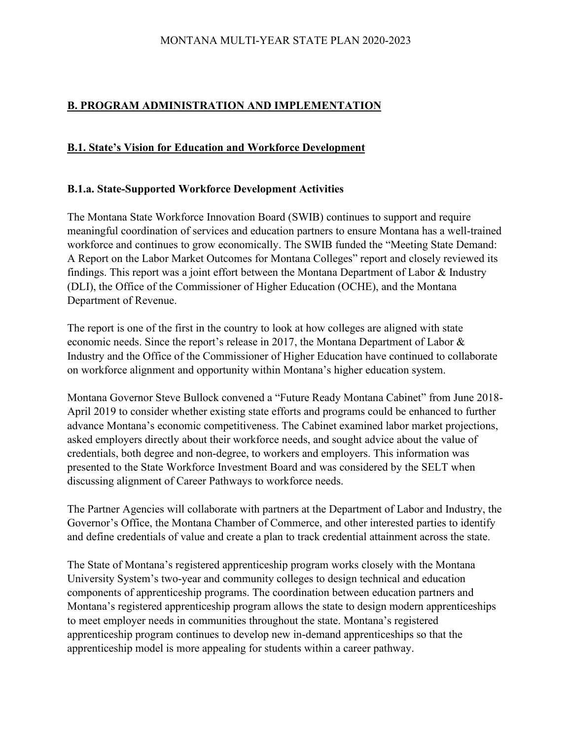# **B. PROGRAM ADMINISTRATION AND IMPLEMENTATION**

## **B.1. State's Vision for Education and Workforce Development**

#### **B.1.a. State-Supported Workforce Development Activities**

The Montana State Workforce Innovation Board (SWIB) continues to support and require meaningful coordination of services and education partners to ensure Montana has a well-trained workforce and continues to grow economically. The SWIB funded the "Meeting State Demand: A Report on the Labor Market Outcomes for Montana Colleges" report and closely reviewed its findings. This report was a joint effort between the Montana Department of Labor & Industry (DLI), the Office of the Commissioner of Higher Education (OCHE), and the Montana Department of Revenue.

The report is one of the first in the country to look at how colleges are aligned with state economic needs. Since the report's release in 2017, the Montana Department of Labor & Industry and the Office of the Commissioner of Higher Education have continued to collaborate on workforce alignment and opportunity within Montana's higher education system.

Montana Governor Steve Bullock convened a "Future Ready Montana Cabinet" from June 2018- April 2019 to consider whether existing state efforts and programs could be enhanced to further advance Montana's economic competitiveness. The Cabinet examined labor market projections, asked employers directly about their workforce needs, and sought advice about the value of credentials, both degree and non-degree, to workers and employers. This information was presented to the State Workforce Investment Board and was considered by the SELT when discussing alignment of Career Pathways to workforce needs.

The Partner Agencies will collaborate with partners at the Department of Labor and Industry, the Governor's Office, the Montana Chamber of Commerce, and other interested parties to identify and define credentials of value and create a plan to track credential attainment across the state.

The State of Montana's registered apprenticeship program works closely with the Montana University System's two-year and community colleges to design technical and education components of apprenticeship programs. The coordination between education partners and Montana's registered apprenticeship program allows the state to design modern apprenticeships to meet employer needs in communities throughout the state. Montana's registered apprenticeship program continues to develop new in-demand apprenticeships so that the apprenticeship model is more appealing for students within a career pathway.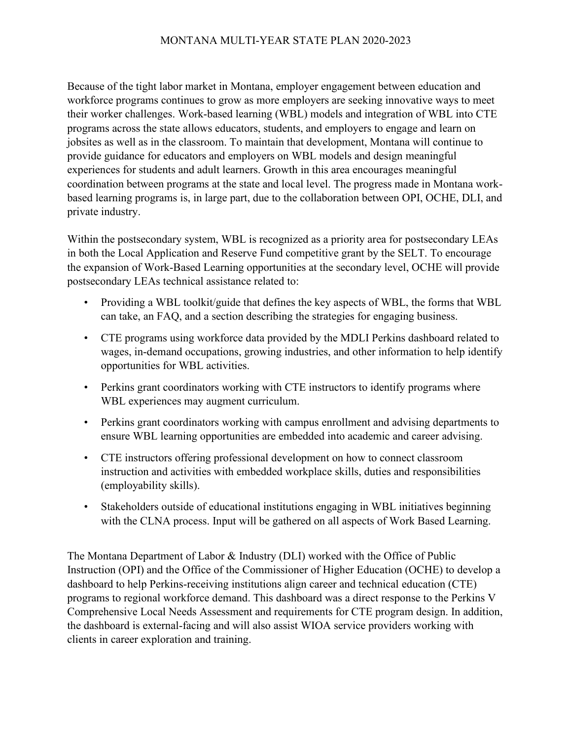Because of the tight labor market in Montana, employer engagement between education and workforce programs continues to grow as more employers are seeking innovative ways to meet their worker challenges. Work-based learning (WBL) models and integration of WBL into CTE programs across the state allows educators, students, and employers to engage and learn on jobsites as well as in the classroom. To maintain that development, Montana will continue to provide guidance for educators and employers on WBL models and design meaningful experiences for students and adult learners. Growth in this area encourages meaningful coordination between programs at the state and local level. The progress made in Montana workbased learning programs is, in large part, due to the collaboration between OPI, OCHE, DLI, and private industry.

Within the postsecondary system, WBL is recognized as a priority area for postsecondary LEAs in both the Local Application and Reserve Fund competitive grant by the SELT. To encourage the expansion of Work-Based Learning opportunities at the secondary level, OCHE will provide postsecondary LEAs technical assistance related to:

- Providing a WBL toolkit/guide that defines the key aspects of WBL, the forms that WBL can take, an FAQ, and a section describing the strategies for engaging business.
- CTE programs using workforce data provided by the MDLI Perkins dashboard related to wages, in-demand occupations, growing industries, and other information to help identify opportunities for WBL activities.
- Perkins grant coordinators working with CTE instructors to identify programs where WBL experiences may augment curriculum.
- Perkins grant coordinators working with campus enrollment and advising departments to ensure WBL learning opportunities are embedded into academic and career advising.
- CTE instructors offering professional development on how to connect classroom instruction and activities with embedded workplace skills, duties and responsibilities (employability skills).
- Stakeholders outside of educational institutions engaging in WBL initiatives beginning with the CLNA process. Input will be gathered on all aspects of Work Based Learning.

The Montana Department of Labor & Industry (DLI) worked with the Office of Public Instruction (OPI) and the Office of the Commissioner of Higher Education (OCHE) to develop a dashboard to help Perkins-receiving institutions align career and technical education (CTE) programs to regional workforce demand. This dashboard was a direct response to the Perkins V Comprehensive Local Needs Assessment and requirements for CTE program design. In addition, the dashboard is external-facing and will also assist WIOA service providers working with clients in career exploration and training.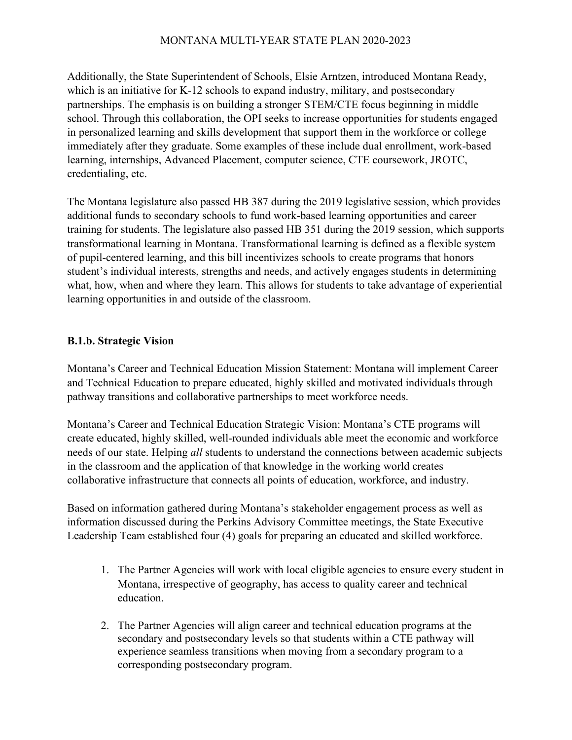Additionally, the State Superintendent of Schools, Elsie Arntzen, introduced Montana Ready, which is an initiative for K-12 schools to expand industry, military, and postsecondary partnerships. The emphasis is on building a stronger STEM/CTE focus beginning in middle school. Through this collaboration, the OPI seeks to increase opportunities for students engaged in personalized learning and skills development that support them in the workforce or college immediately after they graduate. Some examples of these include dual enrollment, work-based learning, internships, Advanced Placement, computer science, CTE coursework, JROTC, credentialing, etc.

The Montana legislature also passed HB 387 during the 2019 legislative session, which provides additional funds to secondary schools to fund work-based learning opportunities and career training for students. The legislature also passed HB 351 during the 2019 session, which supports transformational learning in Montana. Transformational learning is defined as a flexible system of pupil-centered learning, and this bill incentivizes schools to create programs that honors student's individual interests, strengths and needs, and actively engages students in determining what, how, when and where they learn. This allows for students to take advantage of experiential learning opportunities in and outside of the classroom.

### **B.1.b. Strategic Vision**

Montana's Career and Technical Education Mission Statement: Montana will implement Career and Technical Education to prepare educated, highly skilled and motivated individuals through pathway transitions and collaborative partnerships to meet workforce needs.

Montana's Career and Technical Education Strategic Vision: Montana's CTE programs will create educated, highly skilled, well-rounded individuals able meet the economic and workforce needs of our state. Helping *all* students to understand the connections between academic subjects in the classroom and the application of that knowledge in the working world creates collaborative infrastructure that connects all points of education, workforce, and industry.

Based on information gathered during Montana's stakeholder engagement process as well as information discussed during the Perkins Advisory Committee meetings, the State Executive Leadership Team established four (4) goals for preparing an educated and skilled workforce.

- 1. The Partner Agencies will work with local eligible agencies to ensure every student in Montana, irrespective of geography, has access to quality career and technical education.
- 2. The Partner Agencies will align career and technical education programs at the secondary and postsecondary levels so that students within a CTE pathway will experience seamless transitions when moving from a secondary program to a corresponding postsecondary program.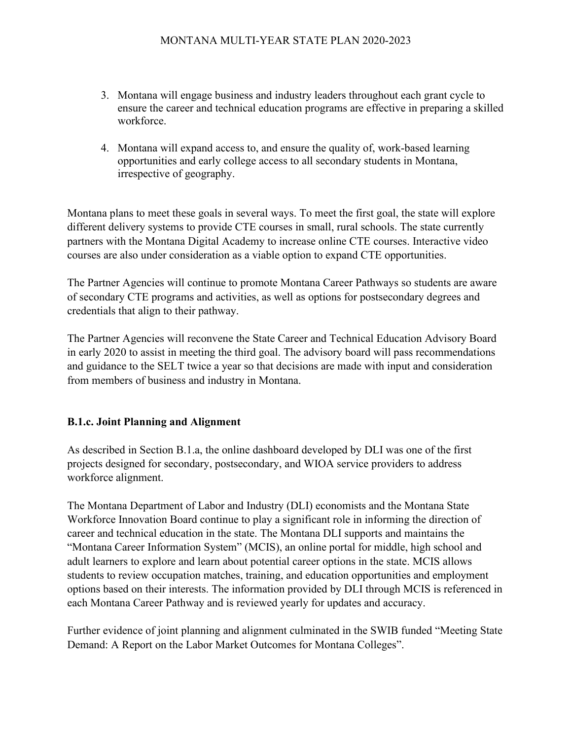- 3. Montana will engage business and industry leaders throughout each grant cycle to ensure the career and technical education programs are effective in preparing a skilled workforce.
- 4. Montana will expand access to, and ensure the quality of, work-based learning opportunities and early college access to all secondary students in Montana, irrespective of geography.

Montana plans to meet these goals in several ways. To meet the first goal, the state will explore different delivery systems to provide CTE courses in small, rural schools. The state currently partners with the Montana Digital Academy to increase online CTE courses. Interactive video courses are also under consideration as a viable option to expand CTE opportunities.

The Partner Agencies will continue to promote Montana Career Pathways so students are aware of secondary CTE programs and activities, as well as options for postsecondary degrees and credentials that align to their pathway.

The Partner Agencies will reconvene the State Career and Technical Education Advisory Board in early 2020 to assist in meeting the third goal. The advisory board will pass recommendations and guidance to the SELT twice a year so that decisions are made with input and consideration from members of business and industry in Montana.

## **B.1.c. Joint Planning and Alignment**

As described in Section B.1.a, the online dashboard developed by DLI was one of the first projects designed for secondary, postsecondary, and WIOA service providers to address workforce alignment.

The Montana Department of Labor and Industry (DLI) economists and the Montana State Workforce Innovation Board continue to play a significant role in informing the direction of career and technical education in the state. The Montana DLI supports and maintains the "Montana Career Information System" (MCIS), an online portal for middle, high school and adult learners to explore and learn about potential career options in the state. MCIS allows students to review occupation matches, training, and education opportunities and employment options based on their interests. The information provided by DLI through MCIS is referenced in each Montana Career Pathway and is reviewed yearly for updates and accuracy.

Further evidence of joint planning and alignment culminated in the SWIB funded "Meeting State Demand: A Report on the Labor Market Outcomes for Montana Colleges".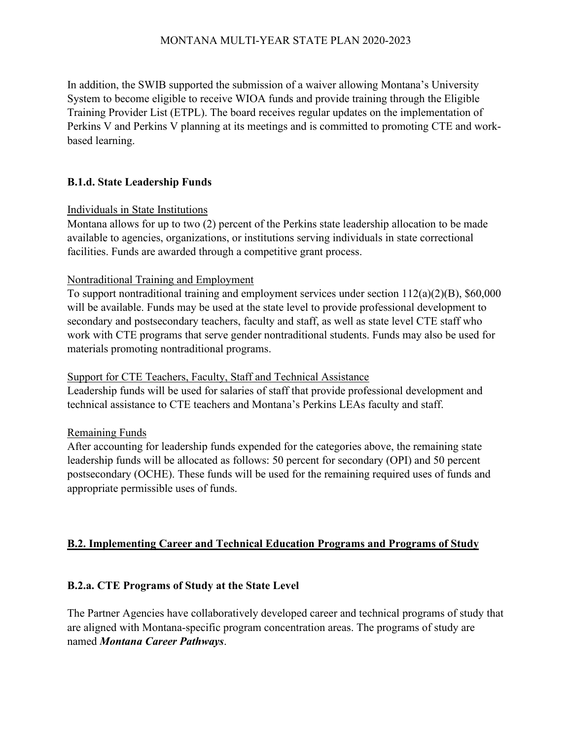In addition, the SWIB supported the submission of a waiver allowing Montana's University System to become eligible to receive WIOA funds and provide training through the Eligible Training Provider List (ETPL). The board receives regular updates on the implementation of Perkins V and Perkins V planning at its meetings and is committed to promoting CTE and workbased learning.

# **B.1.d. State Leadership Funds**

### Individuals in State Institutions

Montana allows for up to two (2) percent of the Perkins state leadership allocation to be made available to agencies, organizations, or institutions serving individuals in state correctional facilities. Funds are awarded through a competitive grant process.

## Nontraditional Training and Employment

To support nontraditional training and employment services under section 112(a)(2)(B), \$60,000 will be available. Funds may be used at the state level to provide professional development to secondary and postsecondary teachers, faculty and staff, as well as state level CTE staff who work with CTE programs that serve gender nontraditional students. Funds may also be used for materials promoting nontraditional programs.

#### Support for CTE Teachers, Faculty, Staff and Technical Assistance

Leadership funds will be used for salaries of staff that provide professional development and technical assistance to CTE teachers and Montana's Perkins LEAs faculty and staff.

## Remaining Funds

After accounting for leadership funds expended for the categories above, the remaining state leadership funds will be allocated as follows: 50 percent for secondary (OPI) and 50 percent postsecondary (OCHE). These funds will be used for the remaining required uses of funds and appropriate permissible uses of funds.

## **B.2. Implementing Career and Technical Education Programs and Programs of Study**

## **B.2.a. CTE Programs of Study at the State Level**

The Partner Agencies have collaboratively developed career and technical programs of study that are aligned with Montana-specific program concentration areas. The programs of study are named *Montana Career Pathways*.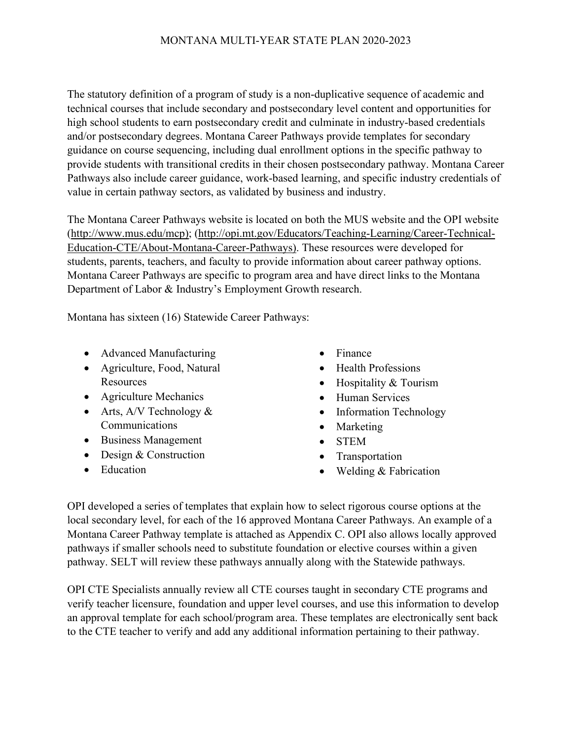The statutory definition of a program of study is a non-duplicative sequence of academic and technical courses that include secondary and postsecondary level content and opportunities for high school students to earn postsecondary credit and culminate in industry-based credentials and/or postsecondary degrees. Montana Career Pathways provide templates for secondary guidance on course sequencing, including dual enrollment options in the specific pathway to provide students with transitional credits in their chosen postsecondary pathway. Montana Career Pathways also include career guidance, work-based learning, and specific industry credentials of value in certain pathway sectors, as validated by business and industry.

The Montana Career Pathways website is located on both the MUS website and the OPI website (http://www.mus.edu/mcp); (http://opi.mt.gov/Educators/Teaching-Learning/Career-Technical-Education-CTE/About-Montana-Career-Pathways). These resources were developed for students, parents, teachers, and faculty to provide information about career pathway options. Montana Career Pathways are specific to program area and have direct links to the Montana Department of Labor & Industry's Employment Growth research.

Montana has sixteen (16) Statewide Career Pathways:

- Advanced Manufacturing
- Agriculture, Food, Natural **Resources**
- Agriculture Mechanics
- Arts,  $A/V$  Technology  $&$ Communications
- Business Management
- Design & Construction
- Education
- Finance
- Health Professions
- Hospitality & Tourism
- Human Services
- Information Technology
- Marketing
- STEM
- **Transportation**
- Welding & Fabrication

OPI developed a series of templates that explain how to select rigorous course options at the local secondary level, for each of the 16 approved Montana Career Pathways. An example of a Montana Career Pathway template is attached as Appendix C. OPI also allows locally approved pathways if smaller schools need to substitute foundation or elective courses within a given pathway. SELT will review these pathways annually along with the Statewide pathways.

OPI CTE Specialists annually review all CTE courses taught in secondary CTE programs and verify teacher licensure, foundation and upper level courses, and use this information to develop an approval template for each school/program area. These templates are electronically sent back to the CTE teacher to verify and add any additional information pertaining to their pathway.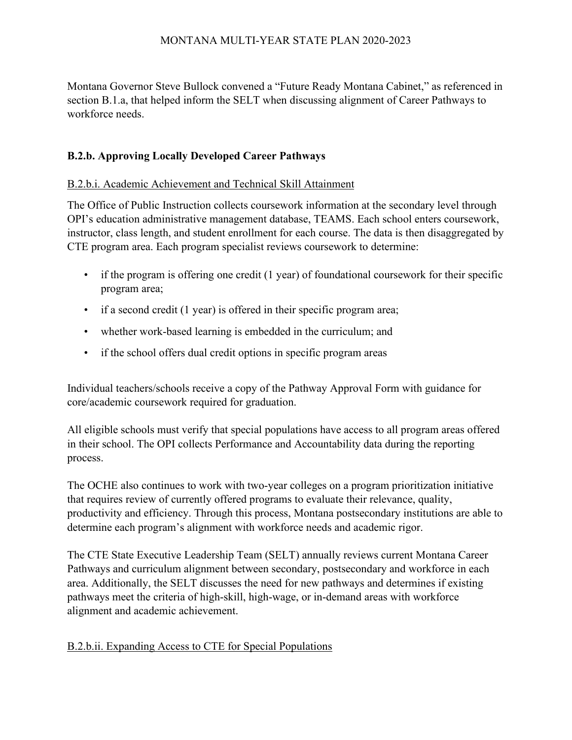Montana Governor Steve Bullock convened a "Future Ready Montana Cabinet," as referenced in section B.1.a, that helped inform the SELT when discussing alignment of Career Pathways to workforce needs.

# **B.2.b. Approving Locally Developed Career Pathways**

## B.2.b.i. Academic Achievement and Technical Skill Attainment

The Office of Public Instruction collects coursework information at the secondary level through OPI's education administrative management database, TEAMS. Each school enters coursework, instructor, class length, and student enrollment for each course. The data is then disaggregated by CTE program area. Each program specialist reviews coursework to determine:

- if the program is offering one credit (1 year) of foundational coursework for their specific program area;
- if a second credit (1 year) is offered in their specific program area;
- whether work-based learning is embedded in the curriculum; and
- if the school offers dual credit options in specific program areas

Individual teachers/schools receive a copy of the Pathway Approval Form with guidance for core/academic coursework required for graduation.

All eligible schools must verify that special populations have access to all program areas offered in their school. The OPI collects Performance and Accountability data during the reporting process.

The OCHE also continues to work with two-year colleges on a program prioritization initiative that requires review of currently offered programs to evaluate their relevance, quality, productivity and efficiency. Through this process, Montana postsecondary institutions are able to determine each program's alignment with workforce needs and academic rigor.

The CTE State Executive Leadership Team (SELT) annually reviews current Montana Career Pathways and curriculum alignment between secondary, postsecondary and workforce in each area. Additionally, the SELT discusses the need for new pathways and determines if existing pathways meet the criteria of high-skill, high-wage, or in-demand areas with workforce alignment and academic achievement.

## B.2.b.ii. Expanding Access to CTE for Special Populations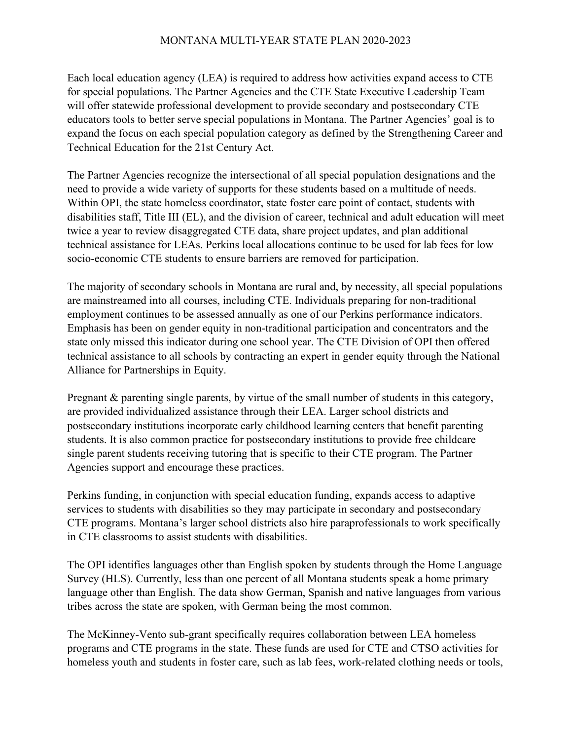Each local education agency (LEA) is required to address how activities expand access to CTE for special populations. The Partner Agencies and the CTE State Executive Leadership Team will offer statewide professional development to provide secondary and postsecondary CTE educators tools to better serve special populations in Montana. The Partner Agencies' goal is to expand the focus on each special population category as defined by the Strengthening Career and Technical Education for the 21st Century Act.

The Partner Agencies recognize the intersectional of all special population designations and the need to provide a wide variety of supports for these students based on a multitude of needs. Within OPI, the state homeless coordinator, state foster care point of contact, students with disabilities staff, Title III (EL), and the division of career, technical and adult education will meet twice a year to review disaggregated CTE data, share project updates, and plan additional technical assistance for LEAs. Perkins local allocations continue to be used for lab fees for low socio-economic CTE students to ensure barriers are removed for participation.

The majority of secondary schools in Montana are rural and, by necessity, all special populations are mainstreamed into all courses, including CTE. Individuals preparing for non-traditional employment continues to be assessed annually as one of our Perkins performance indicators. Emphasis has been on gender equity in non-traditional participation and concentrators and the state only missed this indicator during one school year. The CTE Division of OPI then offered technical assistance to all schools by contracting an expert in gender equity through the National Alliance for Partnerships in Equity.

Pregnant & parenting single parents, by virtue of the small number of students in this category, are provided individualized assistance through their LEA. Larger school districts and postsecondary institutions incorporate early childhood learning centers that benefit parenting students. It is also common practice for postsecondary institutions to provide free childcare single parent students receiving tutoring that is specific to their CTE program. The Partner Agencies support and encourage these practices.

Perkins funding, in conjunction with special education funding, expands access to adaptive services to students with disabilities so they may participate in secondary and postsecondary CTE programs. Montana's larger school districts also hire paraprofessionals to work specifically in CTE classrooms to assist students with disabilities.

The OPI identifies languages other than English spoken by students through the Home Language Survey (HLS). Currently, less than one percent of all Montana students speak a home primary language other than English. The data show German, Spanish and native languages from various tribes across the state are spoken, with German being the most common.

The McKinney-Vento sub-grant specifically requires collaboration between LEA homeless programs and CTE programs in the state. These funds are used for CTE and CTSO activities for homeless youth and students in foster care, such as lab fees, work-related clothing needs or tools,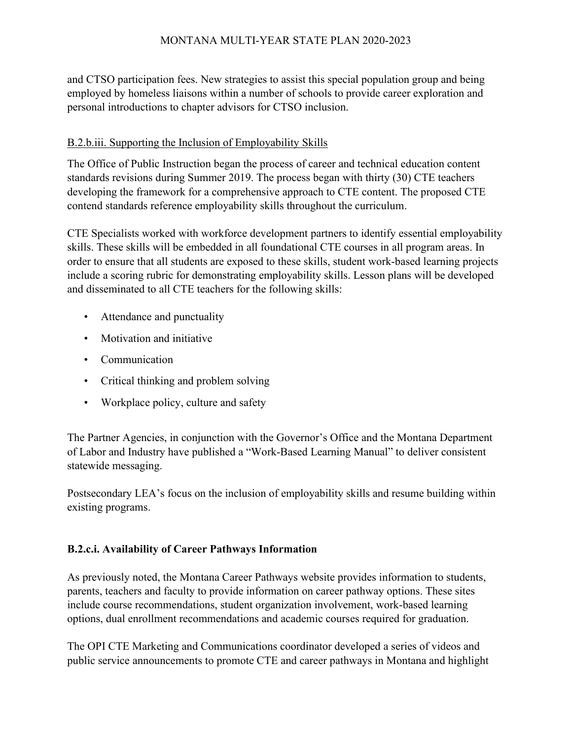and CTSO participation fees. New strategies to assist this special population group and being employed by homeless liaisons within a number of schools to provide career exploration and personal introductions to chapter advisors for CTSO inclusion.

# B.2.b.iii. Supporting the Inclusion of Employability Skills

The Office of Public Instruction began the process of career and technical education content standards revisions during Summer 2019. The process began with thirty (30) CTE teachers developing the framework for a comprehensive approach to CTE content. The proposed CTE contend standards reference employability skills throughout the curriculum.

CTE Specialists worked with workforce development partners to identify essential employability skills. These skills will be embedded in all foundational CTE courses in all program areas. In order to ensure that all students are exposed to these skills, student work-based learning projects include a scoring rubric for demonstrating employability skills. Lesson plans will be developed and disseminated to all CTE teachers for the following skills:

- Attendance and punctuality
- Motivation and initiative
- Communication
- Critical thinking and problem solving
- Workplace policy, culture and safety

The Partner Agencies, in conjunction with the Governor's Office and the Montana Department of Labor and Industry have published a "Work-Based Learning Manual" to deliver consistent statewide messaging.

Postsecondary LEA's focus on the inclusion of employability skills and resume building within existing programs.

# **B.2.c.i. Availability of Career Pathways Information**

As previously noted, the Montana Career Pathways website provides information to students, parents, teachers and faculty to provide information on career pathway options. These sites include course recommendations, student organization involvement, work-based learning options, dual enrollment recommendations and academic courses required for graduation.

The OPI CTE Marketing and Communications coordinator developed a series of videos and public service announcements to promote CTE and career pathways in Montana and highlight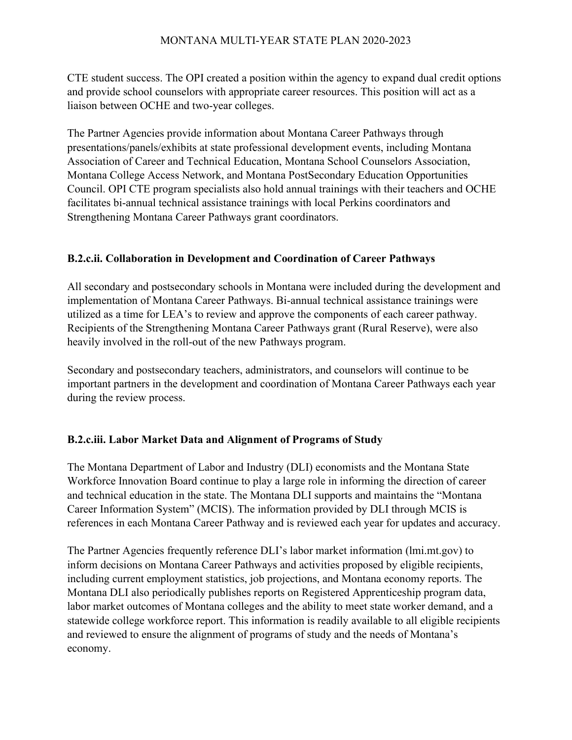CTE student success. The OPI created a position within the agency to expand dual credit options and provide school counselors with appropriate career resources. This position will act as a liaison between OCHE and two-year colleges.

The Partner Agencies provide information about Montana Career Pathways through presentations/panels/exhibits at state professional development events, including Montana Association of Career and Technical Education, Montana School Counselors Association, Montana College Access Network, and Montana PostSecondary Education Opportunities Council. OPI CTE program specialists also hold annual trainings with their teachers and OCHE facilitates bi-annual technical assistance trainings with local Perkins coordinators and Strengthening Montana Career Pathways grant coordinators.

## **B.2.c.ii. Collaboration in Development and Coordination of Career Pathways**

All secondary and postsecondary schools in Montana were included during the development and implementation of Montana Career Pathways. Bi-annual technical assistance trainings were utilized as a time for LEA's to review and approve the components of each career pathway. Recipients of the Strengthening Montana Career Pathways grant (Rural Reserve), were also heavily involved in the roll-out of the new Pathways program.

Secondary and postsecondary teachers, administrators, and counselors will continue to be important partners in the development and coordination of Montana Career Pathways each year during the review process.

# **B.2.c.iii. Labor Market Data and Alignment of Programs of Study**

The Montana Department of Labor and Industry (DLI) economists and the Montana State Workforce Innovation Board continue to play a large role in informing the direction of career and technical education in the state. The Montana DLI supports and maintains the "Montana Career Information System" (MCIS). The information provided by DLI through MCIS is references in each Montana Career Pathway and is reviewed each year for updates and accuracy.

The Partner Agencies frequently reference DLI's labor market information (lmi.mt.gov) to inform decisions on Montana Career Pathways and activities proposed by eligible recipients, including current employment statistics, job projections, and Montana economy reports. The Montana DLI also periodically publishes reports on Registered Apprenticeship program data, labor market outcomes of Montana colleges and the ability to meet state worker demand, and a statewide college workforce report. This information is readily available to all eligible recipients and reviewed to ensure the alignment of programs of study and the needs of Montana's economy.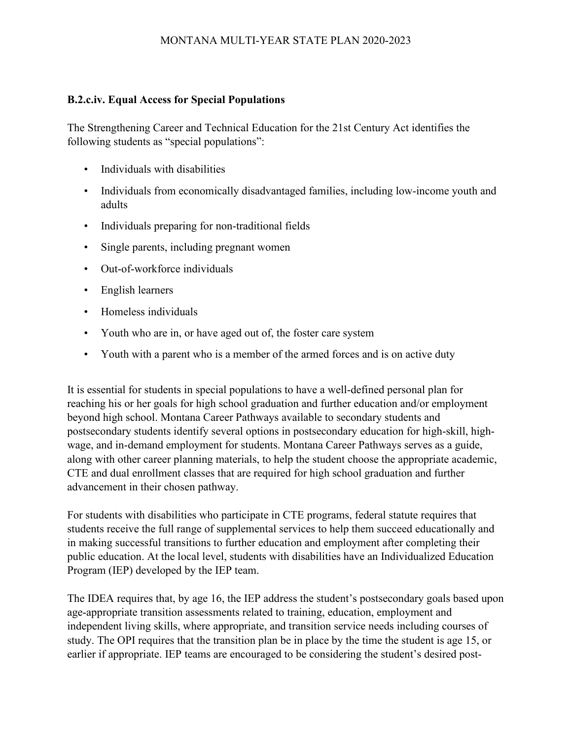## **B.2.c.iv. Equal Access for Special Populations**

The Strengthening Career and Technical Education for the 21st Century Act identifies the following students as "special populations":

- Individuals with disabilities
- Individuals from economically disadvantaged families, including low-income youth and adults
- Individuals preparing for non-traditional fields
- Single parents, including pregnant women
- Out-of-workforce individuals
- English learners
- Homeless individuals
- Youth who are in, or have aged out of, the foster care system
- Youth with a parent who is a member of the armed forces and is on active duty

It is essential for students in special populations to have a well-defined personal plan for reaching his or her goals for high school graduation and further education and/or employment beyond high school. Montana Career Pathways available to secondary students and postsecondary students identify several options in postsecondary education for high-skill, highwage, and in-demand employment for students. Montana Career Pathways serves as a guide, along with other career planning materials, to help the student choose the appropriate academic, CTE and dual enrollment classes that are required for high school graduation and further advancement in their chosen pathway.

For students with disabilities who participate in CTE programs, federal statute requires that students receive the full range of supplemental services to help them succeed educationally and in making successful transitions to further education and employment after completing their public education. At the local level, students with disabilities have an Individualized Education Program (IEP) developed by the IEP team.

The IDEA requires that, by age 16, the IEP address the student's postsecondary goals based upon age-appropriate transition assessments related to training, education, employment and independent living skills, where appropriate, and transition service needs including courses of study. The OPI requires that the transition plan be in place by the time the student is age 15, or earlier if appropriate. IEP teams are encouraged to be considering the student's desired post-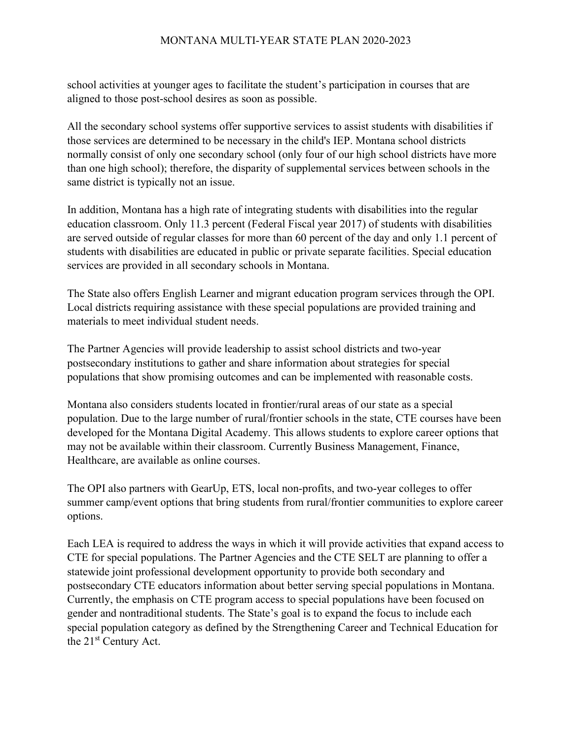school activities at younger ages to facilitate the student's participation in courses that are aligned to those post-school desires as soon as possible.

All the secondary school systems offer supportive services to assist students with disabilities if those services are determined to be necessary in the child's IEP. Montana school districts normally consist of only one secondary school (only four of our high school districts have more than one high school); therefore, the disparity of supplemental services between schools in the same district is typically not an issue.

In addition, Montana has a high rate of integrating students with disabilities into the regular education classroom. Only 11.3 percent (Federal Fiscal year 2017) of students with disabilities are served outside of regular classes for more than 60 percent of the day and only 1.1 percent of students with disabilities are educated in public or private separate facilities. Special education services are provided in all secondary schools in Montana.

The State also offers English Learner and migrant education program services through the OPI. Local districts requiring assistance with these special populations are provided training and materials to meet individual student needs.

The Partner Agencies will provide leadership to assist school districts and two-year postsecondary institutions to gather and share information about strategies for special populations that show promising outcomes and can be implemented with reasonable costs.

Montana also considers students located in frontier/rural areas of our state as a special population. Due to the large number of rural/frontier schools in the state, CTE courses have been developed for the Montana Digital Academy. This allows students to explore career options that may not be available within their classroom. Currently Business Management, Finance, Healthcare, are available as online courses.

The OPI also partners with GearUp, ETS, local non-profits, and two-year colleges to offer summer camp/event options that bring students from rural/frontier communities to explore career options.

Each LEA is required to address the ways in which it will provide activities that expand access to CTE for special populations. The Partner Agencies and the CTE SELT are planning to offer a statewide joint professional development opportunity to provide both secondary and postsecondary CTE educators information about better serving special populations in Montana. Currently, the emphasis on CTE program access to special populations have been focused on gender and nontraditional students. The State's goal is to expand the focus to include each special population category as defined by the Strengthening Career and Technical Education for the 21<sup>st</sup> Century Act.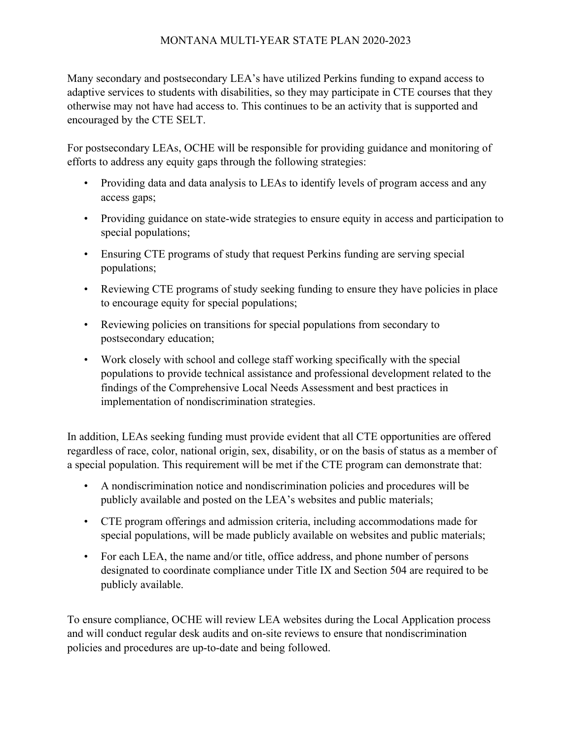Many secondary and postsecondary LEA's have utilized Perkins funding to expand access to adaptive services to students with disabilities, so they may participate in CTE courses that they otherwise may not have had access to. This continues to be an activity that is supported and encouraged by the CTE SELT.

For postsecondary LEAs, OCHE will be responsible for providing guidance and monitoring of efforts to address any equity gaps through the following strategies:

- Providing data and data analysis to LEAs to identify levels of program access and any access gaps;
- Providing guidance on state-wide strategies to ensure equity in access and participation to special populations;
- Ensuring CTE programs of study that request Perkins funding are serving special populations;
- Reviewing CTE programs of study seeking funding to ensure they have policies in place to encourage equity for special populations;
- Reviewing policies on transitions for special populations from secondary to postsecondary education;
- Work closely with school and college staff working specifically with the special populations to provide technical assistance and professional development related to the findings of the Comprehensive Local Needs Assessment and best practices in implementation of nondiscrimination strategies.

In addition, LEAs seeking funding must provide evident that all CTE opportunities are offered regardless of race, color, national origin, sex, disability, or on the basis of status as a member of a special population. This requirement will be met if the CTE program can demonstrate that:

- A nondiscrimination notice and nondiscrimination policies and procedures will be publicly available and posted on the LEA's websites and public materials;
- CTE program offerings and admission criteria, including accommodations made for special populations, will be made publicly available on websites and public materials;
- For each LEA, the name and/or title, office address, and phone number of persons designated to coordinate compliance under Title IX and Section 504 are required to be publicly available.

To ensure compliance, OCHE will review LEA websites during the Local Application process and will conduct regular desk audits and on-site reviews to ensure that nondiscrimination policies and procedures are up-to-date and being followed.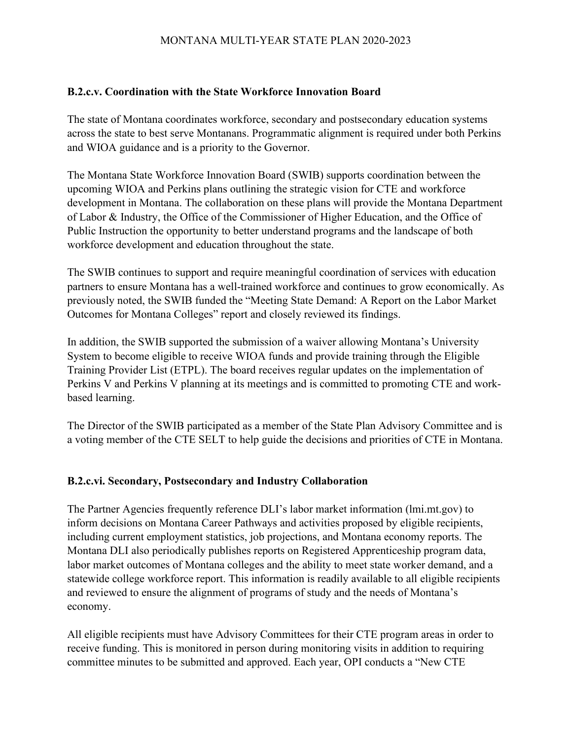#### **B.2.c.v. Coordination with the State Workforce Innovation Board**

The state of Montana coordinates workforce, secondary and postsecondary education systems across the state to best serve Montanans. Programmatic alignment is required under both Perkins and WIOA guidance and is a priority to the Governor.

The Montana State Workforce Innovation Board (SWIB) supports coordination between the upcoming WIOA and Perkins plans outlining the strategic vision for CTE and workforce development in Montana. The collaboration on these plans will provide the Montana Department of Labor & Industry, the Office of the Commissioner of Higher Education, and the Office of Public Instruction the opportunity to better understand programs and the landscape of both workforce development and education throughout the state.

The SWIB continues to support and require meaningful coordination of services with education partners to ensure Montana has a well-trained workforce and continues to grow economically. As previously noted, the SWIB funded the "Meeting State Demand: A Report on the Labor Market Outcomes for Montana Colleges" report and closely reviewed its findings.

In addition, the SWIB supported the submission of a waiver allowing Montana's University System to become eligible to receive WIOA funds and provide training through the Eligible Training Provider List (ETPL). The board receives regular updates on the implementation of Perkins V and Perkins V planning at its meetings and is committed to promoting CTE and workbased learning.

The Director of the SWIB participated as a member of the State Plan Advisory Committee and is a voting member of the CTE SELT to help guide the decisions and priorities of CTE in Montana.

## **B.2.c.vi. Secondary, Postsecondary and Industry Collaboration**

The Partner Agencies frequently reference DLI's labor market information (lmi.mt.gov) to inform decisions on Montana Career Pathways and activities proposed by eligible recipients, including current employment statistics, job projections, and Montana economy reports. The Montana DLI also periodically publishes reports on Registered Apprenticeship program data, labor market outcomes of Montana colleges and the ability to meet state worker demand, and a statewide college workforce report. This information is readily available to all eligible recipients and reviewed to ensure the alignment of programs of study and the needs of Montana's economy.

All eligible recipients must have Advisory Committees for their CTE program areas in order to receive funding. This is monitored in person during monitoring visits in addition to requiring committee minutes to be submitted and approved. Each year, OPI conducts a "New CTE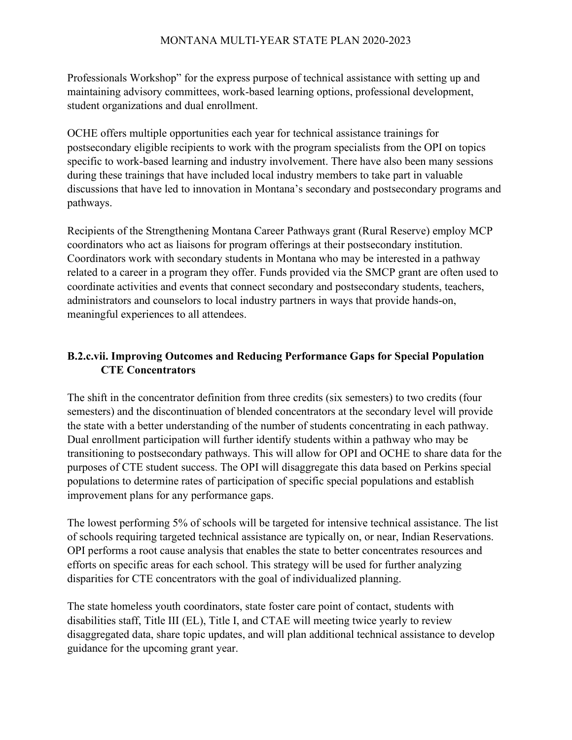Professionals Workshop" for the express purpose of technical assistance with setting up and maintaining advisory committees, work-based learning options, professional development, student organizations and dual enrollment.

OCHE offers multiple opportunities each year for technical assistance trainings for postsecondary eligible recipients to work with the program specialists from the OPI on topics specific to work-based learning and industry involvement. There have also been many sessions during these trainings that have included local industry members to take part in valuable discussions that have led to innovation in Montana's secondary and postsecondary programs and pathways.

Recipients of the Strengthening Montana Career Pathways grant (Rural Reserve) employ MCP coordinators who act as liaisons for program offerings at their postsecondary institution. Coordinators work with secondary students in Montana who may be interested in a pathway related to a career in a program they offer. Funds provided via the SMCP grant are often used to coordinate activities and events that connect secondary and postsecondary students, teachers, administrators and counselors to local industry partners in ways that provide hands-on, meaningful experiences to all attendees.

# **B.2.c.vii. Improving Outcomes and Reducing Performance Gaps for Special Population CTE Concentrators**

The shift in the concentrator definition from three credits (six semesters) to two credits (four semesters) and the discontinuation of blended concentrators at the secondary level will provide the state with a better understanding of the number of students concentrating in each pathway. Dual enrollment participation will further identify students within a pathway who may be transitioning to postsecondary pathways. This will allow for OPI and OCHE to share data for the purposes of CTE student success. The OPI will disaggregate this data based on Perkins special populations to determine rates of participation of specific special populations and establish improvement plans for any performance gaps.

The lowest performing 5% of schools will be targeted for intensive technical assistance. The list of schools requiring targeted technical assistance are typically on, or near, Indian Reservations. OPI performs a root cause analysis that enables the state to better concentrates resources and efforts on specific areas for each school. This strategy will be used for further analyzing disparities for CTE concentrators with the goal of individualized planning.

The state homeless youth coordinators, state foster care point of contact, students with disabilities staff, Title III (EL), Title I, and CTAE will meeting twice yearly to review disaggregated data, share topic updates, and will plan additional technical assistance to develop guidance for the upcoming grant year.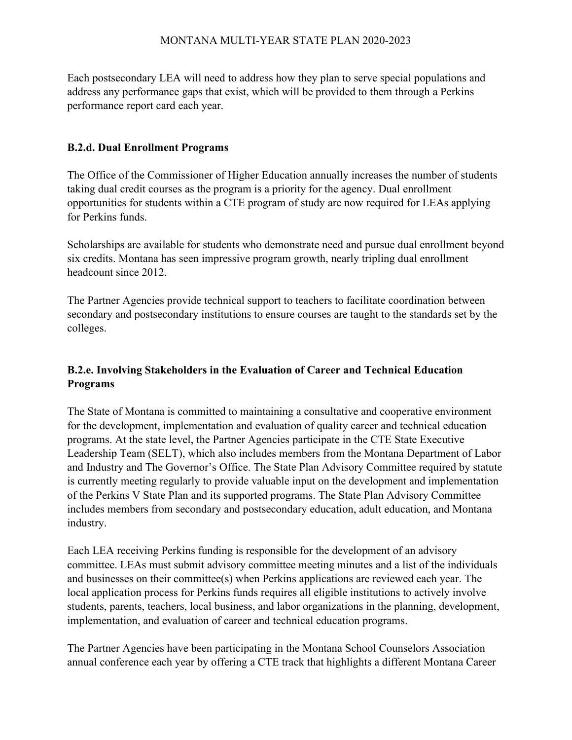Each postsecondary LEA will need to address how they plan to serve special populations and address any performance gaps that exist, which will be provided to them through a Perkins performance report card each year.

## **B.2.d. Dual Enrollment Programs**

The Office of the Commissioner of Higher Education annually increases the number of students taking dual credit courses as the program is a priority for the agency. Dual enrollment opportunities for students within a CTE program of study are now required for LEAs applying for Perkins funds.

Scholarships are available for students who demonstrate need and pursue dual enrollment beyond six credits. Montana has seen impressive program growth, nearly tripling dual enrollment headcount since 2012.

The Partner Agencies provide technical support to teachers to facilitate coordination between secondary and postsecondary institutions to ensure courses are taught to the standards set by the colleges.

# **B.2.e. Involving Stakeholders in the Evaluation of Career and Technical Education Programs**

The State of Montana is committed to maintaining a consultative and cooperative environment for the development, implementation and evaluation of quality career and technical education programs. At the state level, the Partner Agencies participate in the CTE State Executive Leadership Team (SELT), which also includes members from the Montana Department of Labor and Industry and The Governor's Office. The State Plan Advisory Committee required by statute is currently meeting regularly to provide valuable input on the development and implementation of the Perkins V State Plan and its supported programs. The State Plan Advisory Committee includes members from secondary and postsecondary education, adult education, and Montana industry.

Each LEA receiving Perkins funding is responsible for the development of an advisory committee. LEAs must submit advisory committee meeting minutes and a list of the individuals and businesses on their committee(s) when Perkins applications are reviewed each year. The local application process for Perkins funds requires all eligible institutions to actively involve students, parents, teachers, local business, and labor organizations in the planning, development, implementation, and evaluation of career and technical education programs.

The Partner Agencies have been participating in the Montana School Counselors Association annual conference each year by offering a CTE track that highlights a different Montana Career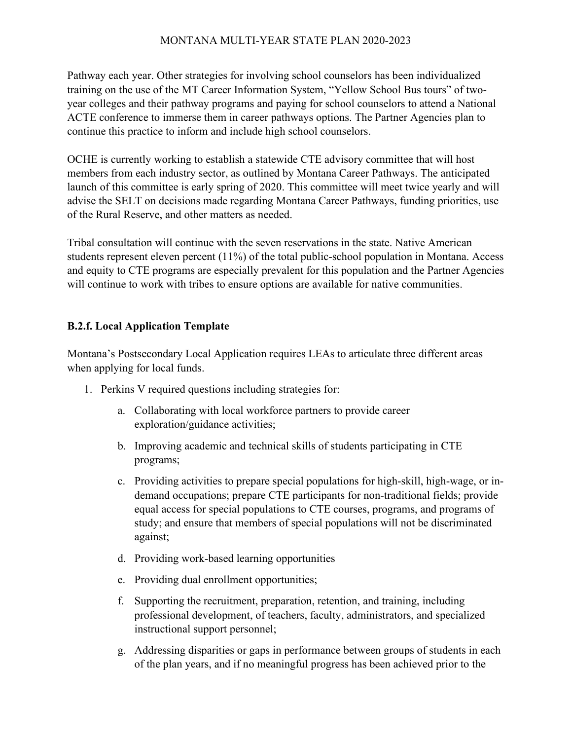Pathway each year. Other strategies for involving school counselors has been individualized training on the use of the MT Career Information System, "Yellow School Bus tours" of twoyear colleges and their pathway programs and paying for school counselors to attend a National ACTE conference to immerse them in career pathways options. The Partner Agencies plan to continue this practice to inform and include high school counselors.

OCHE is currently working to establish a statewide CTE advisory committee that will host members from each industry sector, as outlined by Montana Career Pathways. The anticipated launch of this committee is early spring of 2020. This committee will meet twice yearly and will advise the SELT on decisions made regarding Montana Career Pathways, funding priorities, use of the Rural Reserve, and other matters as needed.

Tribal consultation will continue with the seven reservations in the state. Native American students represent eleven percent (11%) of the total public-school population in Montana. Access and equity to CTE programs are especially prevalent for this population and the Partner Agencies will continue to work with tribes to ensure options are available for native communities.

## **B.2.f. Local Application Template**

Montana's Postsecondary Local Application requires LEAs to articulate three different areas when applying for local funds.

- 1. Perkins V required questions including strategies for:
	- a. Collaborating with local workforce partners to provide career exploration/guidance activities;
	- b. Improving academic and technical skills of students participating in CTE programs;
	- c. Providing activities to prepare special populations for high-skill, high-wage, or indemand occupations; prepare CTE participants for non-traditional fields; provide equal access for special populations to CTE courses, programs, and programs of study; and ensure that members of special populations will not be discriminated against;
	- d. Providing work-based learning opportunities
	- e. Providing dual enrollment opportunities;
	- f. Supporting the recruitment, preparation, retention, and training, including professional development, of teachers, faculty, administrators, and specialized instructional support personnel;
	- g. Addressing disparities or gaps in performance between groups of students in each of the plan years, and if no meaningful progress has been achieved prior to the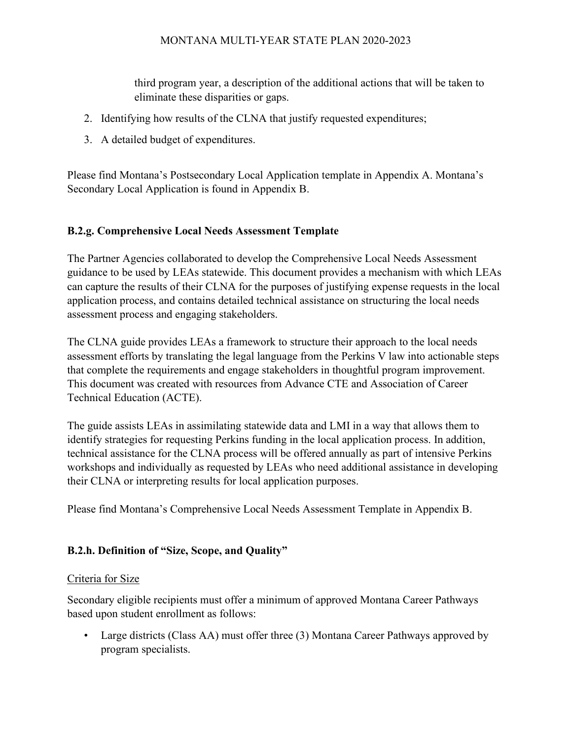third program year, a description of the additional actions that will be taken to eliminate these disparities or gaps.

- 2. Identifying how results of the CLNA that justify requested expenditures;
- 3. A detailed budget of expenditures.

Please find Montana's Postsecondary Local Application template in Appendix A. Montana's Secondary Local Application is found in Appendix B.

# **B.2.g. Comprehensive Local Needs Assessment Template**

The Partner Agencies collaborated to develop the Comprehensive Local Needs Assessment guidance to be used by LEAs statewide. This document provides a mechanism with which LEAs can capture the results of their CLNA for the purposes of justifying expense requests in the local application process, and contains detailed technical assistance on structuring the local needs assessment process and engaging stakeholders.

The CLNA guide provides LEAs a framework to structure their approach to the local needs assessment efforts by translating the legal language from the Perkins V law into actionable steps that complete the requirements and engage stakeholders in thoughtful program improvement. This document was created with resources from Advance CTE and Association of Career Technical Education (ACTE).

The guide assists LEAs in assimilating statewide data and LMI in a way that allows them to identify strategies for requesting Perkins funding in the local application process. In addition, technical assistance for the CLNA process will be offered annually as part of intensive Perkins workshops and individually as requested by LEAs who need additional assistance in developing their CLNA or interpreting results for local application purposes.

Please find Montana's Comprehensive Local Needs Assessment Template in Appendix B.

# **B.2.h. Definition of "Size, Scope, and Quality"**

## Criteria for Size

Secondary eligible recipients must offer a minimum of approved Montana Career Pathways based upon student enrollment as follows:

• Large districts (Class AA) must offer three (3) Montana Career Pathways approved by program specialists.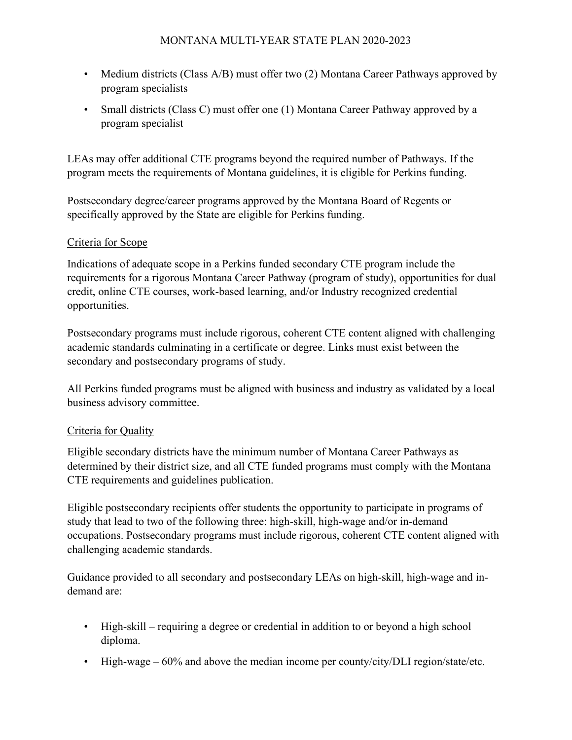- Medium districts (Class A/B) must offer two (2) Montana Career Pathways approved by program specialists
- Small districts (Class C) must offer one (1) Montana Career Pathway approved by a program specialist

LEAs may offer additional CTE programs beyond the required number of Pathways. If the program meets the requirements of Montana guidelines, it is eligible for Perkins funding.

Postsecondary degree/career programs approved by the Montana Board of Regents or specifically approved by the State are eligible for Perkins funding.

# Criteria for Scope

Indications of adequate scope in a Perkins funded secondary CTE program include the requirements for a rigorous Montana Career Pathway (program of study), opportunities for dual credit, online CTE courses, work-based learning, and/or Industry recognized credential opportunities.

Postsecondary programs must include rigorous, coherent CTE content aligned with challenging academic standards culminating in a certificate or degree. Links must exist between the secondary and postsecondary programs of study.

All Perkins funded programs must be aligned with business and industry as validated by a local business advisory committee.

# Criteria for Quality

Eligible secondary districts have the minimum number of Montana Career Pathways as determined by their district size, and all CTE funded programs must comply with the Montana CTE requirements and guidelines publication.

Eligible postsecondary recipients offer students the opportunity to participate in programs of study that lead to two of the following three: high-skill, high-wage and/or in-demand occupations. Postsecondary programs must include rigorous, coherent CTE content aligned with challenging academic standards.

Guidance provided to all secondary and postsecondary LEAs on high-skill, high-wage and indemand are:

- High-skill requiring a degree or credential in addition to or beyond a high school diploma.
- High-wage  $-60\%$  and above the median income per county/city/DLI region/state/etc.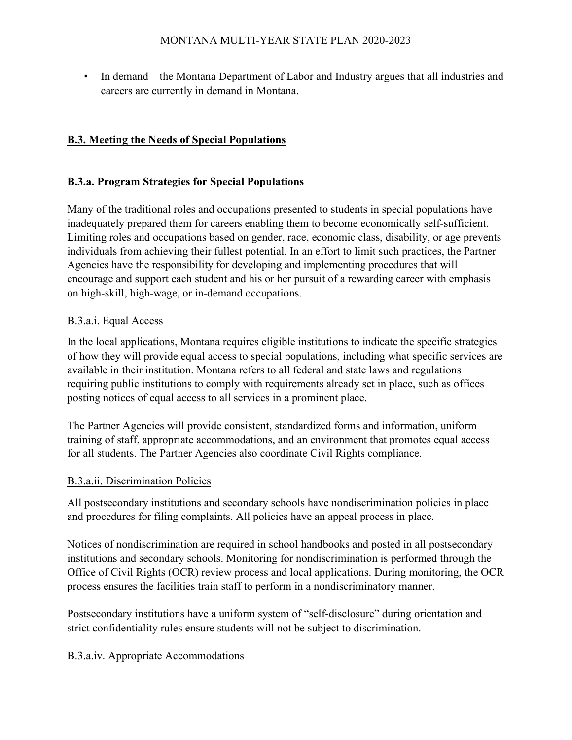• In demand – the Montana Department of Labor and Industry argues that all industries and careers are currently in demand in Montana.

# **B.3. Meeting the Needs of Special Populations**

## **B.3.a. Program Strategies for Special Populations**

Many of the traditional roles and occupations presented to students in special populations have inadequately prepared them for careers enabling them to become economically self-sufficient. Limiting roles and occupations based on gender, race, economic class, disability, or age prevents individuals from achieving their fullest potential. In an effort to limit such practices, the Partner Agencies have the responsibility for developing and implementing procedures that will encourage and support each student and his or her pursuit of a rewarding career with emphasis on high-skill, high-wage, or in-demand occupations.

#### B.3.a.i. Equal Access

In the local applications, Montana requires eligible institutions to indicate the specific strategies of how they will provide equal access to special populations, including what specific services are available in their institution. Montana refers to all federal and state laws and regulations requiring public institutions to comply with requirements already set in place, such as offices posting notices of equal access to all services in a prominent place.

The Partner Agencies will provide consistent, standardized forms and information, uniform training of staff, appropriate accommodations, and an environment that promotes equal access for all students. The Partner Agencies also coordinate Civil Rights compliance.

#### B.3.a.ii. Discrimination Policies

All postsecondary institutions and secondary schools have nondiscrimination policies in place and procedures for filing complaints. All policies have an appeal process in place.

Notices of nondiscrimination are required in school handbooks and posted in all postsecondary institutions and secondary schools. Monitoring for nondiscrimination is performed through the Office of Civil Rights (OCR) review process and local applications. During monitoring, the OCR process ensures the facilities train staff to perform in a nondiscriminatory manner.

Postsecondary institutions have a uniform system of "self-disclosure" during orientation and strict confidentiality rules ensure students will not be subject to discrimination.

#### B.3.a.iv. Appropriate Accommodations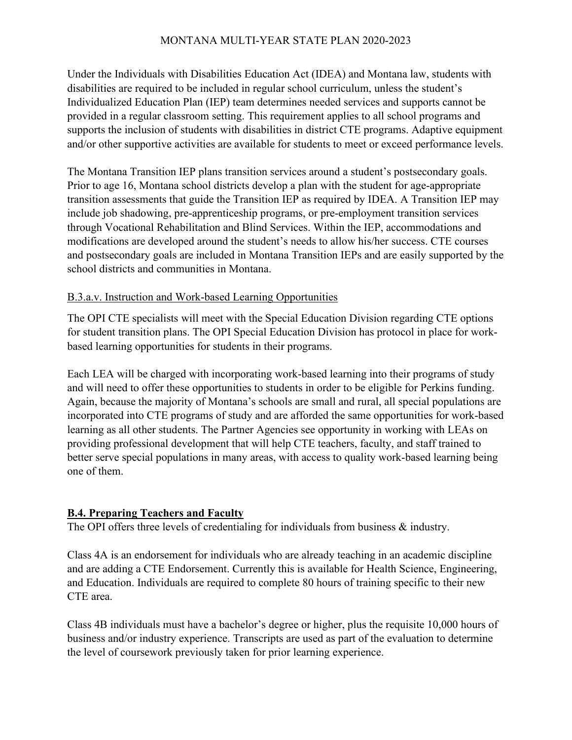Under the Individuals with Disabilities Education Act (IDEA) and Montana law, students with disabilities are required to be included in regular school curriculum, unless the student's Individualized Education Plan (IEP) team determines needed services and supports cannot be provided in a regular classroom setting. This requirement applies to all school programs and supports the inclusion of students with disabilities in district CTE programs. Adaptive equipment and/or other supportive activities are available for students to meet or exceed performance levels.

The Montana Transition IEP plans transition services around a student's postsecondary goals. Prior to age 16, Montana school districts develop a plan with the student for age-appropriate transition assessments that guide the Transition IEP as required by IDEA. A Transition IEP may include job shadowing, pre-apprenticeship programs, or pre-employment transition services through Vocational Rehabilitation and Blind Services. Within the IEP, accommodations and modifications are developed around the student's needs to allow his/her success. CTE courses and postsecondary goals are included in Montana Transition IEPs and are easily supported by the school districts and communities in Montana.

## B.3.a.v. Instruction and Work-based Learning Opportunities

The OPI CTE specialists will meet with the Special Education Division regarding CTE options for student transition plans. The OPI Special Education Division has protocol in place for workbased learning opportunities for students in their programs.

Each LEA will be charged with incorporating work-based learning into their programs of study and will need to offer these opportunities to students in order to be eligible for Perkins funding. Again, because the majority of Montana's schools are small and rural, all special populations are incorporated into CTE programs of study and are afforded the same opportunities for work-based learning as all other students. The Partner Agencies see opportunity in working with LEAs on providing professional development that will help CTE teachers, faculty, and staff trained to better serve special populations in many areas, with access to quality work-based learning being one of them.

# **B.4. Preparing Teachers and Faculty**

The OPI offers three levels of credentialing for individuals from business  $\&$  industry.

Class 4A is an endorsement for individuals who are already teaching in an academic discipline and are adding a CTE Endorsement. Currently this is available for Health Science, Engineering, and Education. Individuals are required to complete 80 hours of training specific to their new CTE area.

Class 4B individuals must have a bachelor's degree or higher, plus the requisite 10,000 hours of business and/or industry experience. Transcripts are used as part of the evaluation to determine the level of coursework previously taken for prior learning experience.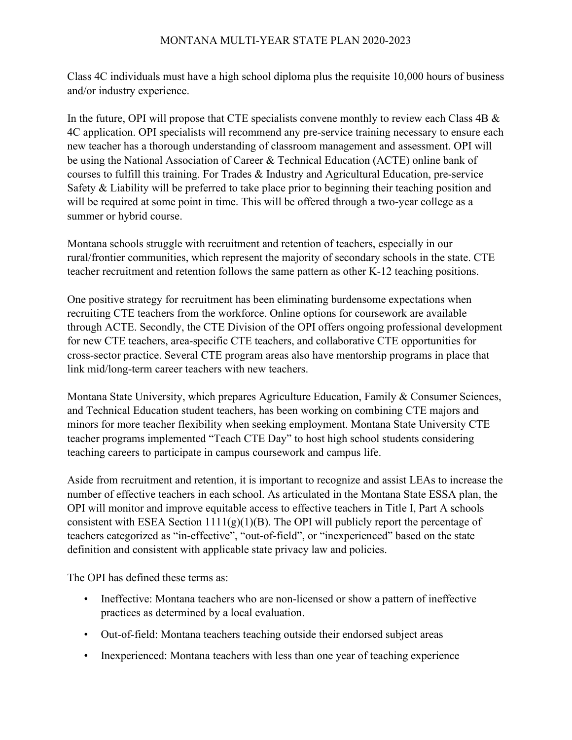Class 4C individuals must have a high school diploma plus the requisite 10,000 hours of business and/or industry experience.

In the future, OPI will propose that CTE specialists convene monthly to review each Class  $4B \&$ 4C application. OPI specialists will recommend any pre-service training necessary to ensure each new teacher has a thorough understanding of classroom management and assessment. OPI will be using the National Association of Career & Technical Education (ACTE) online bank of courses to fulfill this training. For Trades & Industry and Agricultural Education, pre-service Safety & Liability will be preferred to take place prior to beginning their teaching position and will be required at some point in time. This will be offered through a two-year college as a summer or hybrid course.

Montana schools struggle with recruitment and retention of teachers, especially in our rural/frontier communities, which represent the majority of secondary schools in the state. CTE teacher recruitment and retention follows the same pattern as other K-12 teaching positions.

One positive strategy for recruitment has been eliminating burdensome expectations when recruiting CTE teachers from the workforce. Online options for coursework are available through ACTE. Secondly, the CTE Division of the OPI offers ongoing professional development for new CTE teachers, area-specific CTE teachers, and collaborative CTE opportunities for cross-sector practice. Several CTE program areas also have mentorship programs in place that link mid/long-term career teachers with new teachers.

Montana State University, which prepares Agriculture Education, Family & Consumer Sciences, and Technical Education student teachers, has been working on combining CTE majors and minors for more teacher flexibility when seeking employment. Montana State University CTE teacher programs implemented "Teach CTE Day" to host high school students considering teaching careers to participate in campus coursework and campus life.

Aside from recruitment and retention, it is important to recognize and assist LEAs to increase the number of effective teachers in each school. As articulated in the Montana State ESSA plan, the OPI will monitor and improve equitable access to effective teachers in Title I, Part A schools consistent with ESEA Section  $1111(g)(1)(B)$ . The OPI will publicly report the percentage of teachers categorized as "in-effective", "out-of-field", or "inexperienced" based on the state definition and consistent with applicable state privacy law and policies.

The OPI has defined these terms as:

- Ineffective: Montana teachers who are non-licensed or show a pattern of ineffective practices as determined by a local evaluation.
- Out-of-field: Montana teachers teaching outside their endorsed subject areas
- Inexperienced: Montana teachers with less than one year of teaching experience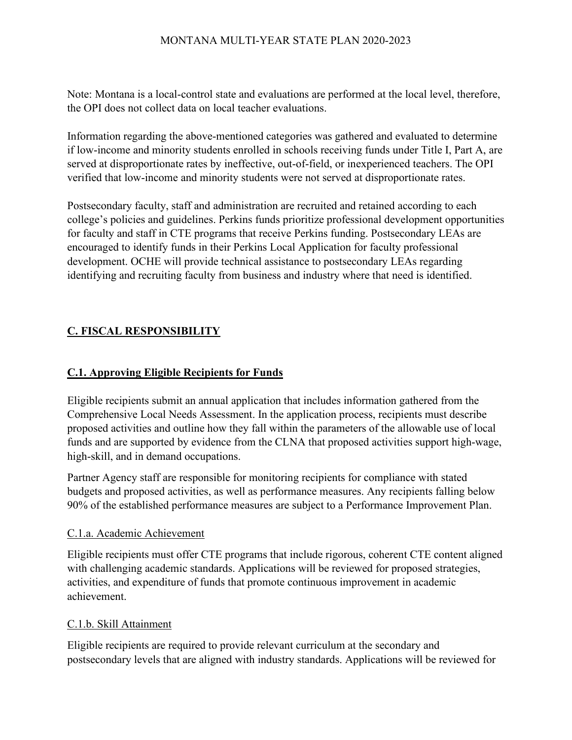Note: Montana is a local-control state and evaluations are performed at the local level, therefore, the OPI does not collect data on local teacher evaluations.

Information regarding the above-mentioned categories was gathered and evaluated to determine if low-income and minority students enrolled in schools receiving funds under Title I, Part A, are served at disproportionate rates by ineffective, out-of-field, or inexperienced teachers. The OPI verified that low-income and minority students were not served at disproportionate rates.

Postsecondary faculty, staff and administration are recruited and retained according to each college's policies and guidelines. Perkins funds prioritize professional development opportunities for faculty and staff in CTE programs that receive Perkins funding. Postsecondary LEAs are encouraged to identify funds in their Perkins Local Application for faculty professional development. OCHE will provide technical assistance to postsecondary LEAs regarding identifying and recruiting faculty from business and industry where that need is identified.

# **C. FISCAL RESPONSIBILITY**

# **C.1. Approving Eligible Recipients for Funds**

Eligible recipients submit an annual application that includes information gathered from the Comprehensive Local Needs Assessment. In the application process, recipients must describe proposed activities and outline how they fall within the parameters of the allowable use of local funds and are supported by evidence from the CLNA that proposed activities support high-wage, high-skill, and in demand occupations.

Partner Agency staff are responsible for monitoring recipients for compliance with stated budgets and proposed activities, as well as performance measures. Any recipients falling below 90% of the established performance measures are subject to a Performance Improvement Plan.

## C.1.a. Academic Achievement

Eligible recipients must offer CTE programs that include rigorous, coherent CTE content aligned with challenging academic standards. Applications will be reviewed for proposed strategies, activities, and expenditure of funds that promote continuous improvement in academic achievement.

## C.1.b. Skill Attainment

Eligible recipients are required to provide relevant curriculum at the secondary and postsecondary levels that are aligned with industry standards. Applications will be reviewed for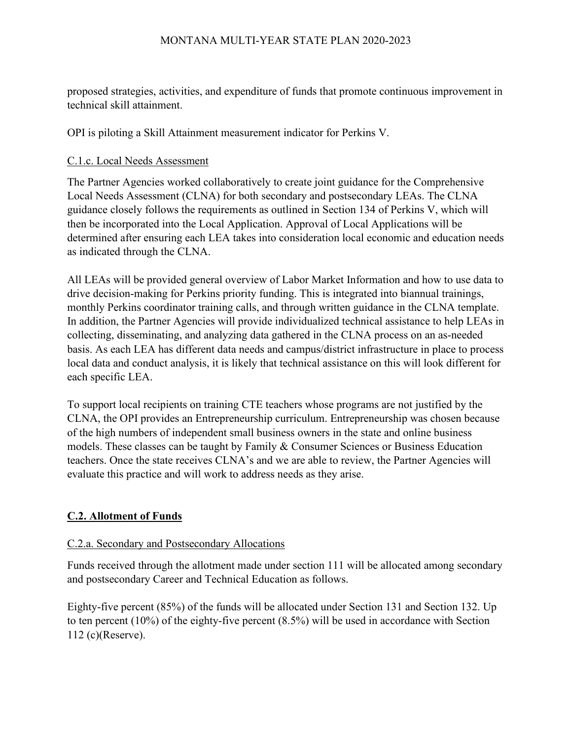proposed strategies, activities, and expenditure of funds that promote continuous improvement in technical skill attainment.

OPI is piloting a Skill Attainment measurement indicator for Perkins V.

### C.1.c. Local Needs Assessment

The Partner Agencies worked collaboratively to create joint guidance for the Comprehensive Local Needs Assessment (CLNA) for both secondary and postsecondary LEAs. The CLNA guidance closely follows the requirements as outlined in Section 134 of Perkins V, which will then be incorporated into the Local Application. Approval of Local Applications will be determined after ensuring each LEA takes into consideration local economic and education needs as indicated through the CLNA.

All LEAs will be provided general overview of Labor Market Information and how to use data to drive decision-making for Perkins priority funding. This is integrated into biannual trainings, monthly Perkins coordinator training calls, and through written guidance in the CLNA template. In addition, the Partner Agencies will provide individualized technical assistance to help LEAs in collecting, disseminating, and analyzing data gathered in the CLNA process on an as-needed basis. As each LEA has different data needs and campus/district infrastructure in place to process local data and conduct analysis, it is likely that technical assistance on this will look different for each specific LEA.

To support local recipients on training CTE teachers whose programs are not justified by the CLNA, the OPI provides an Entrepreneurship curriculum. Entrepreneurship was chosen because of the high numbers of independent small business owners in the state and online business models. These classes can be taught by Family & Consumer Sciences or Business Education teachers. Once the state receives CLNA's and we are able to review, the Partner Agencies will evaluate this practice and will work to address needs as they arise.

# **C.2. Allotment of Funds**

## C.2.a. Secondary and Postsecondary Allocations

Funds received through the allotment made under section 111 will be allocated among secondary and postsecondary Career and Technical Education as follows.

Eighty-five percent (85%) of the funds will be allocated under Section 131 and Section 132. Up to ten percent (10%) of the eighty-five percent (8.5%) will be used in accordance with Section 112 (c)(Reserve).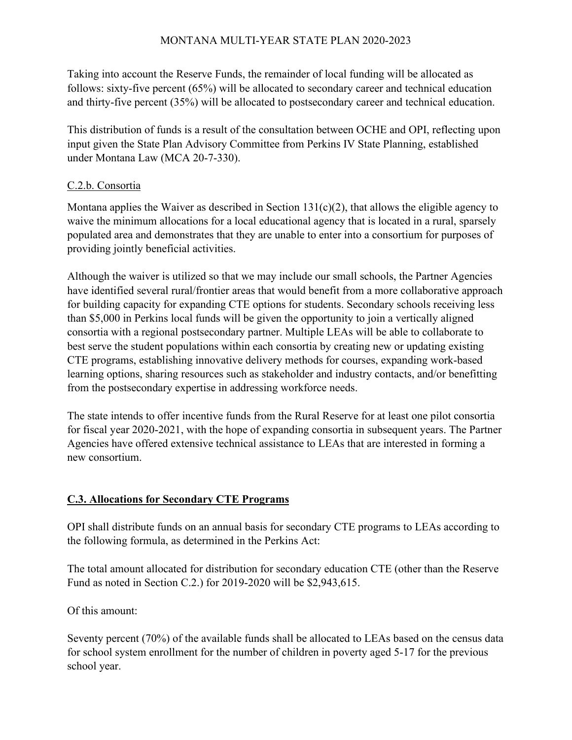Taking into account the Reserve Funds, the remainder of local funding will be allocated as follows: sixty-five percent (65%) will be allocated to secondary career and technical education and thirty-five percent (35%) will be allocated to postsecondary career and technical education.

This distribution of funds is a result of the consultation between OCHE and OPI, reflecting upon input given the State Plan Advisory Committee from Perkins IV State Planning, established under Montana Law (MCA 20-7-330).

# C.2.b. Consortia

Montana applies the Waiver as described in Section  $131(c)(2)$ , that allows the eligible agency to waive the minimum allocations for a local educational agency that is located in a rural, sparsely populated area and demonstrates that they are unable to enter into a consortium for purposes of providing jointly beneficial activities.

Although the waiver is utilized so that we may include our small schools, the Partner Agencies have identified several rural/frontier areas that would benefit from a more collaborative approach for building capacity for expanding CTE options for students. Secondary schools receiving less than \$5,000 in Perkins local funds will be given the opportunity to join a vertically aligned consortia with a regional postsecondary partner. Multiple LEAs will be able to collaborate to best serve the student populations within each consortia by creating new or updating existing CTE programs, establishing innovative delivery methods for courses, expanding work-based learning options, sharing resources such as stakeholder and industry contacts, and/or benefitting from the postsecondary expertise in addressing workforce needs.

The state intends to offer incentive funds from the Rural Reserve for at least one pilot consortia for fiscal year 2020-2021, with the hope of expanding consortia in subsequent years. The Partner Agencies have offered extensive technical assistance to LEAs that are interested in forming a new consortium.

# **C.3. Allocations for Secondary CTE Programs**

OPI shall distribute funds on an annual basis for secondary CTE programs to LEAs according to the following formula, as determined in the Perkins Act:

The total amount allocated for distribution for secondary education CTE (other than the Reserve Fund as noted in Section C.2.) for 2019-2020 will be \$2,943,615.

Of this amount:

Seventy percent (70%) of the available funds shall be allocated to LEAs based on the census data for school system enrollment for the number of children in poverty aged 5-17 for the previous school year.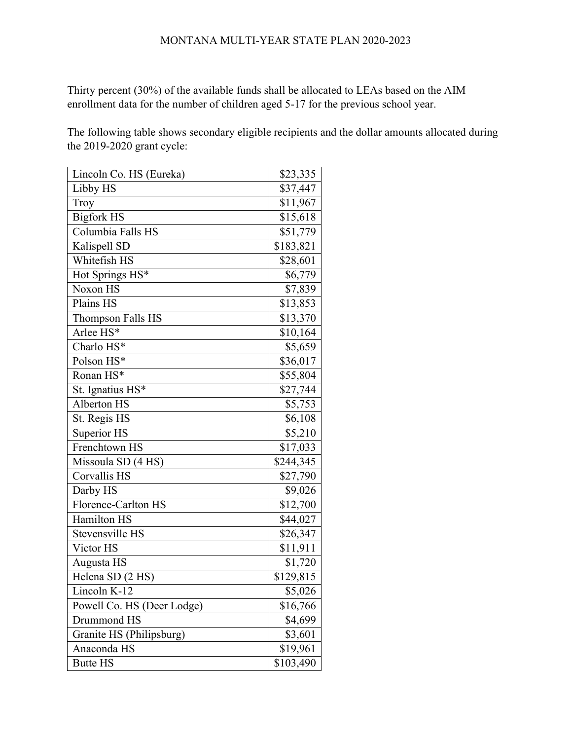Thirty percent (30%) of the available funds shall be allocated to LEAs based on the AIM enrollment data for the number of children aged 5-17 for the previous school year.

The following table shows secondary eligible recipients and the dollar amounts allocated during the 2019-2020 grant cycle:

| Lincoln Co. HS (Eureka)        | \$23,335  |
|--------------------------------|-----------|
| Libby HS                       | \$37,447  |
| Troy                           | \$11,967  |
| <b>Bigfork HS</b>              | \$15,618  |
| Columbia Falls HS              | \$51,779  |
| Kalispell SD                   | \$183,821 |
| Whitefish HS                   | \$28,601  |
| Hot Springs HS*                | \$6,779   |
| Noxon HS                       | \$7,839   |
| Plains HS                      | \$13,853  |
| Thompson Falls HS              | \$13,370  |
| Arlee HS*                      | \$10,164  |
| Charlo HS*                     | \$5,659   |
| Polson HS*                     | \$36,017  |
| Ronan HS*                      | \$55,804  |
| St. Ignatius $\overline{HS^*}$ | \$27,744  |
| Alberton HS                    | \$5,753   |
| St. Regis HS                   | \$6,108   |
| Superior HS                    | \$5,210   |
| Frenchtown HS                  | \$17,033  |
| Missoula SD (4 HS)             | \$244,345 |
| Corvallis HS                   | \$27,790  |
| Darby HS                       | \$9,026   |
| Florence-Carlton HS            | \$12,700  |
| <b>Hamilton HS</b>             | \$44,027  |
| Stevensville HS                | \$26,347  |
| Victor HS                      | \$11,911  |
| Augusta HS                     | \$1,720   |
| Helena SD (2 HS)               | \$129,815 |
| Lincoln K-12                   | \$5,026   |
| Powell Co. HS (Deer Lodge)     | \$16,766  |
| Drummond HS                    | \$4,699   |
| Granite HS (Philipsburg)       | \$3,601   |
| Anaconda HS                    | \$19,961  |
| <b>Butte HS</b>                | \$103,490 |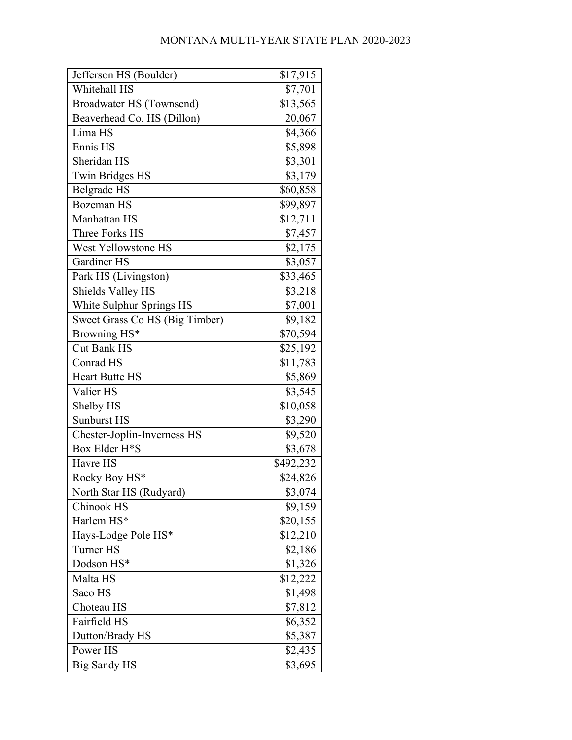| Jefferson HS (Boulder)         | \$17,915  |
|--------------------------------|-----------|
| Whitehall HS                   | \$7,701   |
| Broadwater HS (Townsend)       | \$13,565  |
| Beaverhead Co. HS (Dillon)     | 20,067    |
| Lima HS                        | \$4,366   |
| Ennis HS                       | \$5,898   |
| Sheridan HS                    | \$3,301   |
| <b>Twin Bridges HS</b>         | \$3,179   |
| Belgrade HS                    | \$60,858  |
| <b>Bozeman HS</b>              | \$99,897  |
| Manhattan HS                   | \$12,711  |
| Three Forks HS                 | \$7,457   |
| West Yellowstone HS            | \$2,175   |
| Gardiner HS                    | \$3,057   |
| Park HS (Livingston)           | \$33,465  |
| Shields Valley HS              | \$3,218   |
| White Sulphur Springs HS       | \$7,001   |
| Sweet Grass Co HS (Big Timber) | \$9,182   |
| Browning HS*                   | \$70,594  |
| <b>Cut Bank HS</b>             | \$25,192  |
| Conrad HS                      | \$11,783  |
| <b>Heart Butte HS</b>          | \$5,869   |
| Valier HS                      | \$3,545   |
| Shelby HS                      | \$10,058  |
| <b>Sunburst HS</b>             | \$3,290   |
| Chester-Joplin-Inverness HS    | \$9,520   |
| Box Elder H*S                  | \$3,678   |
| Havre HS                       | \$492,232 |
| Rocky Boy HS*                  | \$24,826  |
| North Star HS (Rudyard)        | \$3,074   |
| Chinook HS                     | \$9,159   |
| Harlem HS*                     | \$20,155  |
| Hays-Lodge Pole HS*            | \$12,210  |
| <b>Turner HS</b>               | \$2,186   |
| Dodson HS*                     | \$1,326   |
| Malta HS                       | \$12,222  |
| Saco HS                        | \$1,498   |
| Choteau HS                     | \$7,812   |
| Fairfield HS                   | \$6,352   |
| Dutton/Brady HS                | \$5,387   |
| Power HS                       | \$2,435   |
| Big Sandy HS                   | \$3,695   |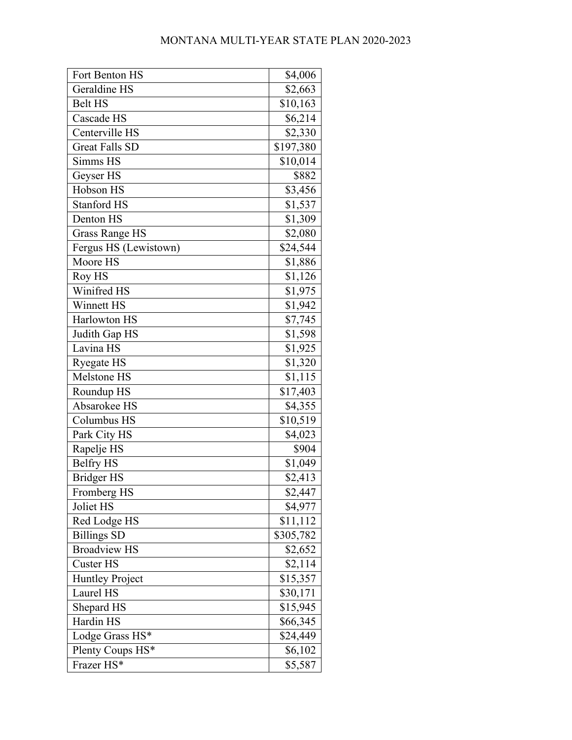| Fort Benton HS        | \$4,006   |
|-----------------------|-----------|
| Geraldine HS          | \$2,663   |
| <b>Belt HS</b>        | \$10,163  |
| Cascade HS            | \$6,214   |
| Centerville HS        | \$2,330   |
| <b>Great Falls SD</b> | \$197,380 |
| Simms HS              | \$10,014  |
| Geyser HS             | \$882     |
| Hobson HS             | \$3,456   |
| <b>Stanford HS</b>    | \$1,537   |
| Denton HS             | \$1,309   |
| <b>Grass Range HS</b> | \$2,080   |
| Fergus HS (Lewistown) | \$24,544  |
| Moore HS              | \$1,886   |
| Roy HS                | \$1,126   |
| Winifred HS           | \$1,975   |
| Winnett HS            | \$1,942   |
| Harlowton HS          | \$7,745   |
| Judith Gap HS         | \$1,598   |
| Lavina HS             | \$1,925   |
| Ryegate HS            | \$1,320   |
| Melstone HS           | \$1,115   |
| Roundup HS            | \$17,403  |
| Absarokee HS          | \$4,355   |
| Columbus HS           | \$10,519  |
| Park City HS          | \$4,023   |
| Rapelje HS            | \$904     |
| <b>Belfry HS</b>      | \$1,049   |
| <b>Bridger HS</b>     | \$2,413   |
| Fromberg HS           | \$2,447   |
| Joliet HS             | \$4,977   |
| Red Lodge HS          | \$11,112  |
| <b>Billings SD</b>    | \$305,782 |
| <b>Broadview HS</b>   | \$2,652   |
| <b>Custer HS</b>      | \$2,114   |
| Huntley Project       | \$15,357  |
| Laurel HS             | \$30,171  |
| Shepard HS            | \$15,945  |
| Hardin HS             | \$66,345  |
| Lodge Grass HS*       | \$24,449  |
| Plenty Coups HS*      | \$6,102   |
| Frazer HS*            | \$5,587   |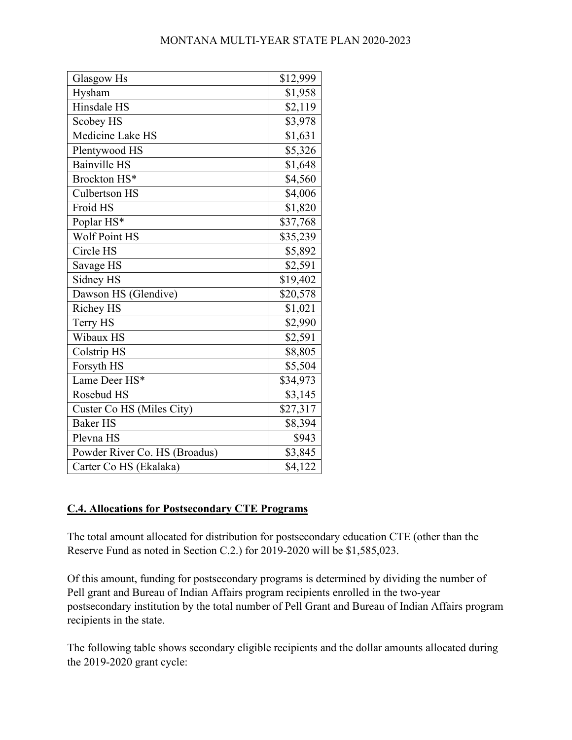| Glasgow Hs                    | \$12,999 |
|-------------------------------|----------|
| Hysham                        | \$1,958  |
| Hinsdale HS                   | \$2,119  |
| Scobey HS                     | \$3,978  |
| Medicine Lake HS              | \$1,631  |
| Plentywood HS                 | \$5,326  |
| <b>Bainville HS</b>           | \$1,648  |
| Brockton HS*                  | \$4,560  |
| <b>Culbertson HS</b>          | \$4,006  |
| Froid HS                      | \$1,820  |
| Poplar HS*                    | \$37,768 |
| <b>Wolf Point HS</b>          | \$35,239 |
| Circle HS                     | \$5,892  |
| Savage HS                     | \$2,591  |
| Sidney HS                     | \$19,402 |
| Dawson HS (Glendive)          | \$20,578 |
| <b>Richey HS</b>              | \$1,021  |
| Terry HS                      | \$2,990  |
| Wibaux HS                     | \$2,591  |
| Colstrip HS                   | \$8,805  |
| Forsyth HS                    | \$5,504  |
| Lame Deer HS*                 | \$34,973 |
| Rosebud HS                    | \$3,145  |
| Custer Co HS (Miles City)     | \$27,317 |
| <b>Baker HS</b>               | \$8,394  |
| Plevna HS                     | \$943    |
| Powder River Co. HS (Broadus) | \$3,845  |
| Carter Co HS (Ekalaka)        | \$4,122  |

# **C.4. Allocations for Postsecondary CTE Programs**

The total amount allocated for distribution for postsecondary education CTE (other than the Reserve Fund as noted in Section C.2.) for 2019-2020 will be \$1,585,023.

Of this amount, funding for postsecondary programs is determined by dividing the number of Pell grant and Bureau of Indian Affairs program recipients enrolled in the two-year postsecondary institution by the total number of Pell Grant and Bureau of Indian Affairs program recipients in the state.

The following table shows secondary eligible recipients and the dollar amounts allocated during the 2019-2020 grant cycle: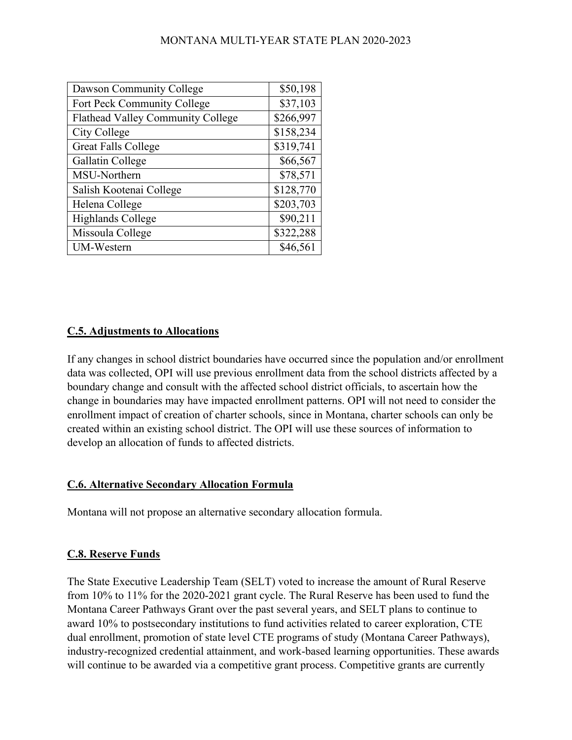| Dawson Community College          | \$50,198  |
|-----------------------------------|-----------|
| Fort Peck Community College       | \$37,103  |
| Flathead Valley Community College | \$266,997 |
| City College                      | \$158,234 |
| <b>Great Falls College</b>        | \$319,741 |
| Gallatin College                  | \$66,567  |
| MSU-Northern                      | \$78,571  |
| Salish Kootenai College           | \$128,770 |
| Helena College                    | \$203,703 |
| Highlands College                 | \$90,211  |
| Missoula College                  | \$322,288 |
| UM-Western                        | \$46,561  |

## **C.5. Adjustments to Allocations**

If any changes in school district boundaries have occurred since the population and/or enrollment data was collected, OPI will use previous enrollment data from the school districts affected by a boundary change and consult with the affected school district officials, to ascertain how the change in boundaries may have impacted enrollment patterns. OPI will not need to consider the enrollment impact of creation of charter schools, since in Montana, charter schools can only be created within an existing school district. The OPI will use these sources of information to develop an allocation of funds to affected districts.

#### **C.6. Alternative Secondary Allocation Formula**

Montana will not propose an alternative secondary allocation formula.

#### **C.8. Reserve Funds**

The State Executive Leadership Team (SELT) voted to increase the amount of Rural Reserve from 10% to 11% for the 2020-2021 grant cycle. The Rural Reserve has been used to fund the Montana Career Pathways Grant over the past several years, and SELT plans to continue to award 10% to postsecondary institutions to fund activities related to career exploration, CTE dual enrollment, promotion of state level CTE programs of study (Montana Career Pathways), industry-recognized credential attainment, and work-based learning opportunities. These awards will continue to be awarded via a competitive grant process. Competitive grants are currently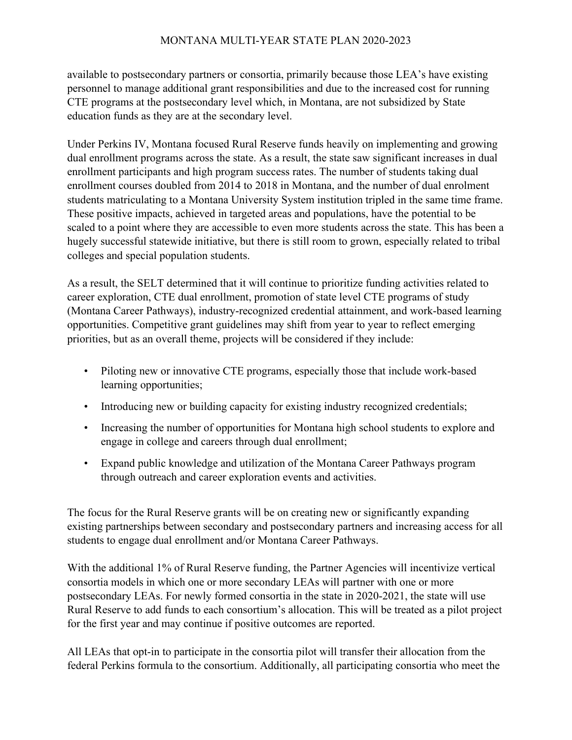available to postsecondary partners or consortia, primarily because those LEA's have existing personnel to manage additional grant responsibilities and due to the increased cost for running CTE programs at the postsecondary level which, in Montana, are not subsidized by State education funds as they are at the secondary level.

Under Perkins IV, Montana focused Rural Reserve funds heavily on implementing and growing dual enrollment programs across the state. As a result, the state saw significant increases in dual enrollment participants and high program success rates. The number of students taking dual enrollment courses doubled from 2014 to 2018 in Montana, and the number of dual enrolment students matriculating to a Montana University System institution tripled in the same time frame. These positive impacts, achieved in targeted areas and populations, have the potential to be scaled to a point where they are accessible to even more students across the state. This has been a hugely successful statewide initiative, but there is still room to grown, especially related to tribal colleges and special population students.

As a result, the SELT determined that it will continue to prioritize funding activities related to career exploration, CTE dual enrollment, promotion of state level CTE programs of study (Montana Career Pathways), industry-recognized credential attainment, and work-based learning opportunities. Competitive grant guidelines may shift from year to year to reflect emerging priorities, but as an overall theme, projects will be considered if they include:

- Piloting new or innovative CTE programs, especially those that include work-based learning opportunities;
- Introducing new or building capacity for existing industry recognized credentials;
- Increasing the number of opportunities for Montana high school students to explore and engage in college and careers through dual enrollment;
- Expand public knowledge and utilization of the Montana Career Pathways program through outreach and career exploration events and activities.

The focus for the Rural Reserve grants will be on creating new or significantly expanding existing partnerships between secondary and postsecondary partners and increasing access for all students to engage dual enrollment and/or Montana Career Pathways.

With the additional 1% of Rural Reserve funding, the Partner Agencies will incentivize vertical consortia models in which one or more secondary LEAs will partner with one or more postsecondary LEAs. For newly formed consortia in the state in 2020-2021, the state will use Rural Reserve to add funds to each consortium's allocation. This will be treated as a pilot project for the first year and may continue if positive outcomes are reported.

All LEAs that opt-in to participate in the consortia pilot will transfer their allocation from the federal Perkins formula to the consortium. Additionally, all participating consortia who meet the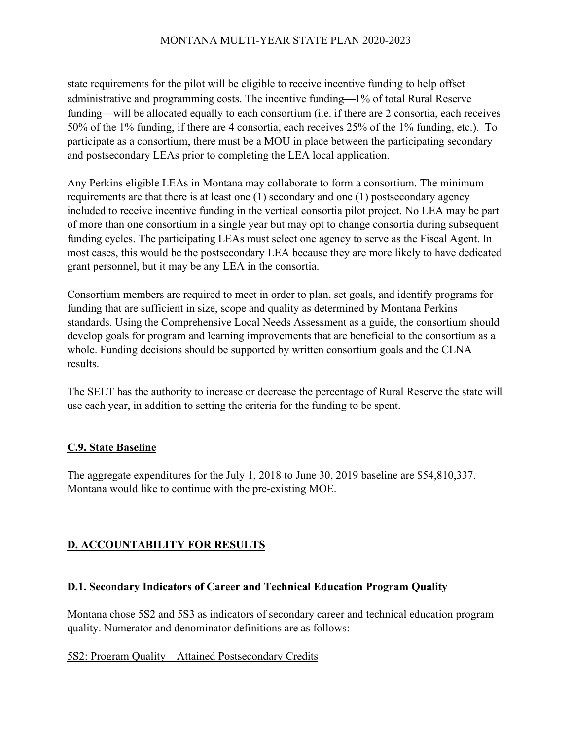state requirements for the pilot will be eligible to receive incentive funding to help offset administrative and programming costs. The incentive funding—1% of total Rural Reserve funding—will be allocated equally to each consortium (i.e. if there are 2 consortia, each receives 50% of the 1% funding, if there are 4 consortia, each receives 25% of the 1% funding, etc.). To participate as a consortium, there must be a MOU in place between the participating secondary and postsecondary LEAs prior to completing the LEA local application.

Any Perkins eligible LEAs in Montana may collaborate to form a consortium. The minimum requirements are that there is at least one (1) secondary and one (1) postsecondary agency included to receive incentive funding in the vertical consortia pilot project. No LEA may be part of more than one consortium in a single year but may opt to change consortia during subsequent funding cycles. The participating LEAs must select one agency to serve as the Fiscal Agent. In most cases, this would be the postsecondary LEA because they are more likely to have dedicated grant personnel, but it may be any LEA in the consortia.

Consortium members are required to meet in order to plan, set goals, and identify programs for funding that are sufficient in size, scope and quality as determined by Montana Perkins standards. Using the Comprehensive Local Needs Assessment as a guide, the consortium should develop goals for program and learning improvements that are beneficial to the consortium as a whole. Funding decisions should be supported by written consortium goals and the CLNA results.

The SELT has the authority to increase or decrease the percentage of Rural Reserve the state will use each year, in addition to setting the criteria for the funding to be spent.

## **C.9. State Baseline**

The aggregate expenditures for the July 1, 2018 to June 30, 2019 baseline are \$54,810,337. Montana would like to continue with the pre-existing MOE.

# **D. ACCOUNTABILITY FOR RESULTS**

## **D.1. Secondary Indicators of Career and Technical Education Program Quality**

Montana chose 5S2 and 5S3 as indicators of secondary career and technical education program quality. Numerator and denominator definitions are as follows:

#### 5S2: Program Quality – Attained Postsecondary Credits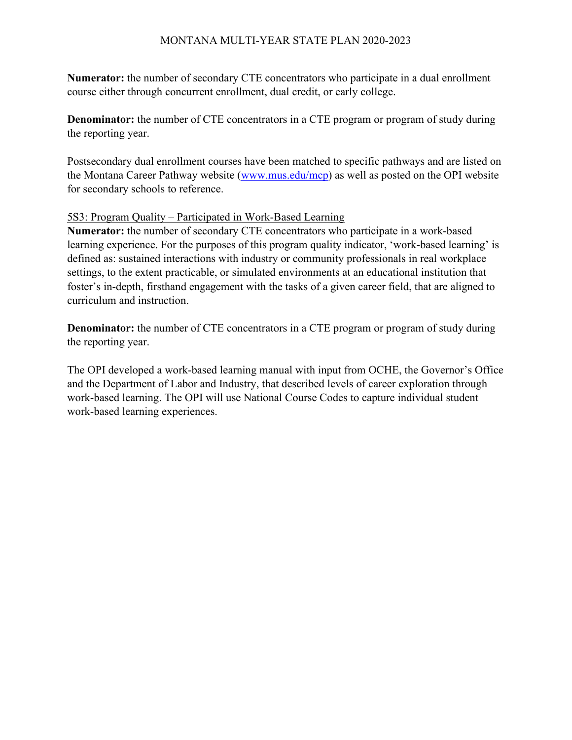**Numerator:** the number of secondary CTE concentrators who participate in a dual enrollment course either through concurrent enrollment, dual credit, or early college.

**Denominator:** the number of CTE concentrators in a CTE program or program of study during the reporting year.

Postsecondary dual enrollment courses have been matched to specific pathways and are listed on the Montana Career Pathway website [\(www.mus.edu/mcp\)](http://www.mus.edu/mcp) as well as posted on the OPI website for secondary schools to reference.

### 5S3: Program Quality – Participated in Work-Based Learning

**Numerator:** the number of secondary CTE concentrators who participate in a work-based learning experience. For the purposes of this program quality indicator, 'work-based learning' is defined as: sustained interactions with industry or community professionals in real workplace settings, to the extent practicable, or simulated environments at an educational institution that foster's in-depth, firsthand engagement with the tasks of a given career field, that are aligned to curriculum and instruction.

**Denominator:** the number of CTE concentrators in a CTE program or program of study during the reporting year.

The OPI developed a work-based learning manual with input from OCHE, the Governor's Office and the Department of Labor and Industry, that described levels of career exploration through work-based learning. The OPI will use National Course Codes to capture individual student work-based learning experiences.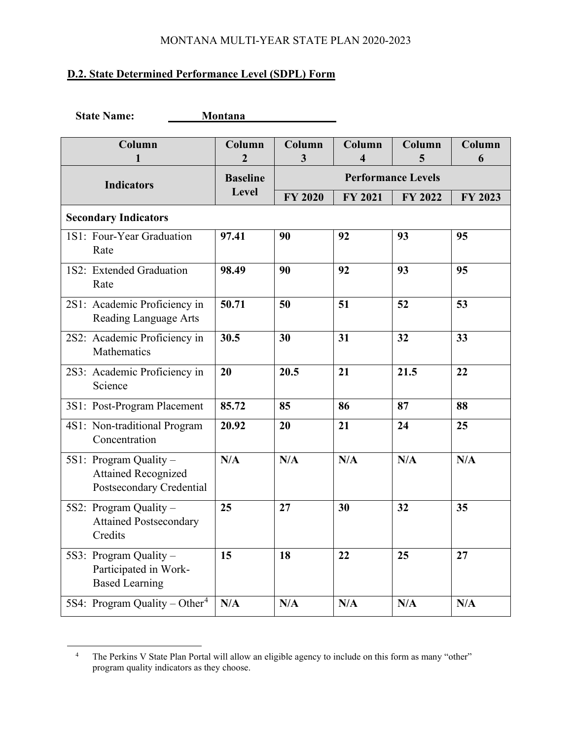# **D.2. State Determined Performance Level (SDPL) Form**

| <b>State Name:</b>                                                               | Montana                  |                           |                |             |             |
|----------------------------------------------------------------------------------|--------------------------|---------------------------|----------------|-------------|-------------|
| Column<br>1                                                                      | Column<br>$\overline{2}$ | Column<br>3               | Column<br>4    | Column<br>5 | Column<br>6 |
| <b>Indicators</b>                                                                | <b>Baseline</b>          | <b>Performance Levels</b> |                |             |             |
|                                                                                  | Level                    | FY 2020                   | <b>FY 2021</b> | FY 2022     | FY 2023     |
| <b>Secondary Indicators</b>                                                      |                          |                           |                |             |             |
| 1S1: Four-Year Graduation<br>Rate                                                | 97.41                    | 90                        | 92             | 93          | 95          |
| 1S2: Extended Graduation<br>Rate                                                 | 98.49                    | 90                        | 92             | 93          | 95          |
| 2S1: Academic Proficiency in<br>Reading Language Arts                            | 50.71                    | 50                        | 51             | 52          | 53          |
| 2S2: Academic Proficiency in<br>Mathematics                                      | 30.5                     | 30                        | 31             | 32          | 33          |
| 2S3: Academic Proficiency in<br>Science                                          | 20                       | 20.5                      | 21             | 21.5        | 22          |
| 3S1: Post-Program Placement                                                      | 85.72                    | 85                        | 86             | 87          | 88          |
| 4S1: Non-traditional Program<br>Concentration                                    | 20.92                    | 20                        | 21             | 24          | 25          |
| 5S1: Program Quality -<br><b>Attained Recognized</b><br>Postsecondary Credential | N/A                      | N/A                       | N/A            | N/A         | N/A         |
| 5S2: Program Quality -<br><b>Attained Postsecondary</b><br>Credits               | 25                       | 27                        | 30             | 32          | 35          |
| 5S3: Program Quality -<br>Participated in Work-<br><b>Based Learning</b>         | 15                       | 18                        | 22             | 25          | 27          |
| 5S4: Program Quality – Other <sup>4</sup>                                        | N/A                      | N/A                       | N/A            | N/A         | N/A         |

<span id="page-47-0"></span><sup>&</sup>lt;sup>4</sup> The Perkins V State Plan Portal will allow an eligible agency to include on this form as many "other" program quality indicators as they choose.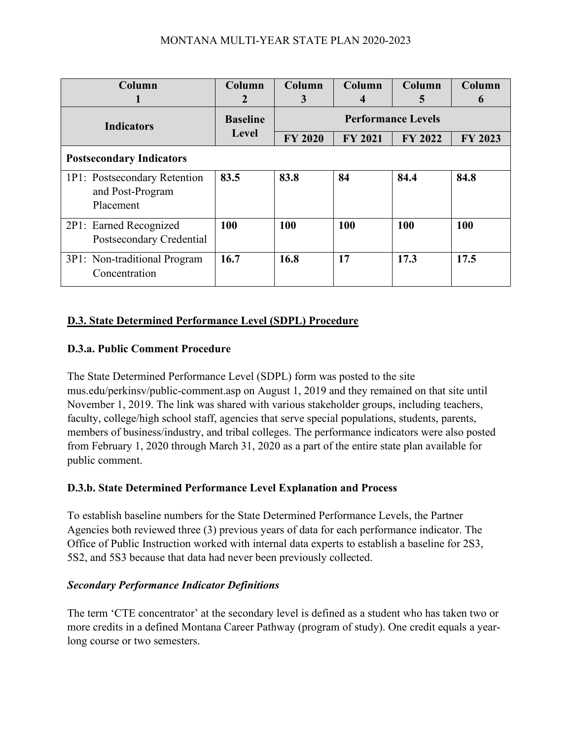| Column<br>1                                                   | Column<br>$\overline{2}$ | Column<br>3               | Column<br>4    | Column<br>5    | Column<br>6 |
|---------------------------------------------------------------|--------------------------|---------------------------|----------------|----------------|-------------|
| <b>Indicators</b>                                             | <b>Baseline</b>          | <b>Performance Levels</b> |                |                |             |
|                                                               | Level                    | <b>FY 2020</b>            | <b>FY 2021</b> | <b>FY 2022</b> | FY 2023     |
| <b>Postsecondary Indicators</b>                               |                          |                           |                |                |             |
| 1P1: Postsecondary Retention<br>and Post-Program<br>Placement | 83.5                     | 83.8                      | 84             | 84.4           | 84.8        |
| 2P1: Earned Recognized<br>Postsecondary Credential            | 100                      | 100                       | 100            | 100            | 100         |
| 3P1: Non-traditional Program<br>Concentration                 | 16.7                     | 16.8                      | 17             | 17.3           | 17.5        |

# **D.3. State Determined Performance Level (SDPL) Procedure**

# **D.3.a. Public Comment Procedure**

The State Determined Performance Level (SDPL) form was posted to the site mus.edu/perkinsv/public-comment.asp on August 1, 2019 and they remained on that site until November 1, 2019. The link was shared with various stakeholder groups, including teachers, faculty, college/high school staff, agencies that serve special populations, students, parents, members of business/industry, and tribal colleges. The performance indicators were also posted from February 1, 2020 through March 31, 2020 as a part of the entire state plan available for public comment.

# **D.3.b. State Determined Performance Level Explanation and Process**

To establish baseline numbers for the State Determined Performance Levels, the Partner Agencies both reviewed three (3) previous years of data for each performance indicator. The Office of Public Instruction worked with internal data experts to establish a baseline for 2S3, 5S2, and 5S3 because that data had never been previously collected.

## *Secondary Performance Indicator Definitions*

The term 'CTE concentrator' at the secondary level is defined as a student who has taken two or more credits in a defined Montana Career Pathway (program of study). One credit equals a yearlong course or two semesters.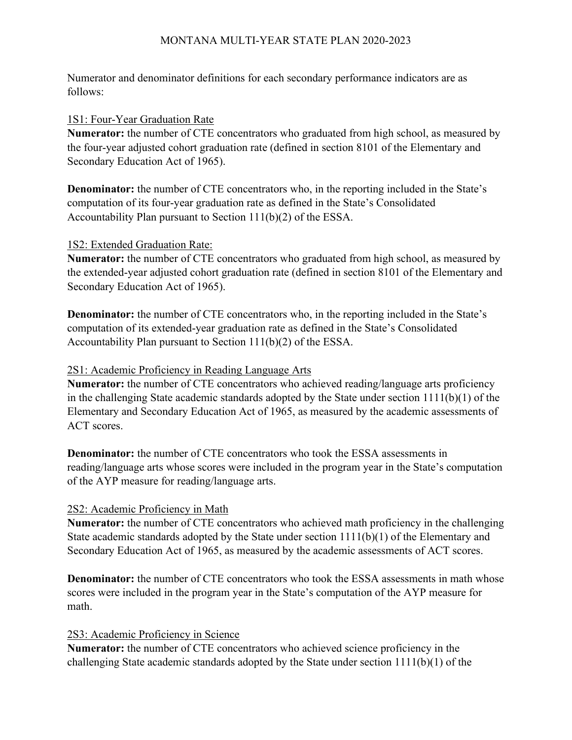Numerator and denominator definitions for each secondary performance indicators are as follows:

#### 1S1: Four-Year Graduation Rate

**Numerator:** the number of CTE concentrators who graduated from high school, as measured by the four-year adjusted cohort graduation rate (defined in section 8101 of the Elementary and Secondary Education Act of 1965).

**Denominator:** the number of CTE concentrators who, in the reporting included in the State's computation of its four-year graduation rate as defined in the State's Consolidated Accountability Plan pursuant to Section 111(b)(2) of the ESSA.

### 1S2: Extended Graduation Rate:

**Numerator:** the number of CTE concentrators who graduated from high school, as measured by the extended-year adjusted cohort graduation rate (defined in section 8101 of the Elementary and Secondary Education Act of 1965).

**Denominator:** the number of CTE concentrators who, in the reporting included in the State's computation of its extended-year graduation rate as defined in the State's Consolidated Accountability Plan pursuant to Section 111(b)(2) of the ESSA.

## 2S1: Academic Proficiency in Reading Language Arts

**Numerator:** the number of CTE concentrators who achieved reading/language arts proficiency in the challenging State academic standards adopted by the State under section 1111(b)(1) of the Elementary and Secondary Education Act of 1965, as measured by the academic assessments of ACT scores.

**Denominator:** the number of CTE concentrators who took the ESSA assessments in reading/language arts whose scores were included in the program year in the State's computation of the AYP measure for reading/language arts.

## 2S2: Academic Proficiency in Math

**Numerator:** the number of CTE concentrators who achieved math proficiency in the challenging State academic standards adopted by the State under section 1111(b)(1) of the Elementary and Secondary Education Act of 1965, as measured by the academic assessments of ACT scores.

**Denominator:** the number of CTE concentrators who took the ESSA assessments in math whose scores were included in the program year in the State's computation of the AYP measure for math.

## 2S3: Academic Proficiency in Science

**Numerator:** the number of CTE concentrators who achieved science proficiency in the challenging State academic standards adopted by the State under section 1111(b)(1) of the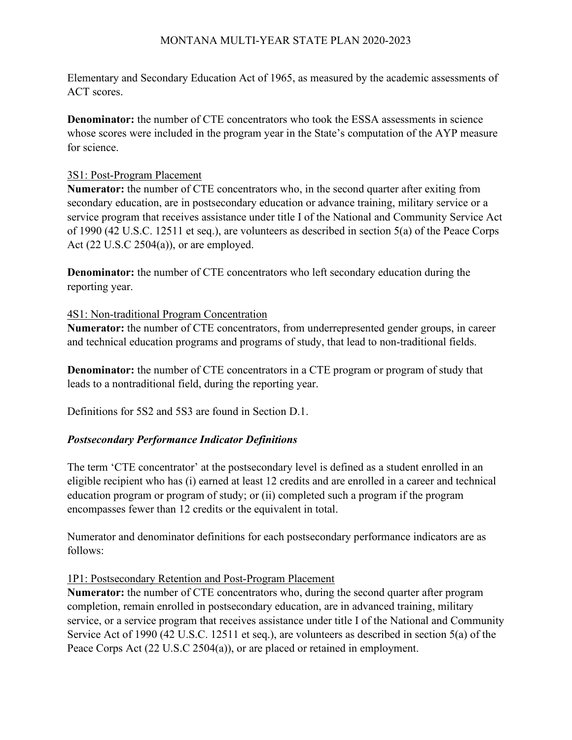Elementary and Secondary Education Act of 1965, as measured by the academic assessments of ACT scores.

**Denominator:** the number of CTE concentrators who took the ESSA assessments in science whose scores were included in the program year in the State's computation of the AYP measure for science.

## 3S1: Post-Program Placement

**Numerator:** the number of CTE concentrators who, in the second quarter after exiting from secondary education, are in postsecondary education or advance training, military service or a service program that receives assistance under title I of the National and Community Service Act of 1990 (42 U.S.C. 12511 et seq.), are volunteers as described in section 5(a) of the Peace Corps Act (22 U.S.C 2504(a)), or are employed.

**Denominator:** the number of CTE concentrators who left secondary education during the reporting year.

## 4S1: Non-traditional Program Concentration

**Numerator:** the number of CTE concentrators, from underrepresented gender groups, in career and technical education programs and programs of study, that lead to non-traditional fields.

**Denominator:** the number of CTE concentrators in a CTE program or program of study that leads to a nontraditional field, during the reporting year.

Definitions for 5S2 and 5S3 are found in Section D.1.

## *Postsecondary Performance Indicator Definitions*

The term 'CTE concentrator' at the postsecondary level is defined as a student enrolled in an eligible recipient who has (i) earned at least 12 credits and are enrolled in a career and technical education program or program of study; or (ii) completed such a program if the program encompasses fewer than 12 credits or the equivalent in total.

Numerator and denominator definitions for each postsecondary performance indicators are as follows:

## 1P1: Postsecondary Retention and Post-Program Placement

**Numerator:** the number of CTE concentrators who, during the second quarter after program completion, remain enrolled in postsecondary education, are in advanced training, military service, or a service program that receives assistance under title I of the National and Community Service Act of 1990 (42 U.S.C. 12511 et seq.), are volunteers as described in section 5(a) of the Peace Corps Act (22 U.S.C 2504(a)), or are placed or retained in employment.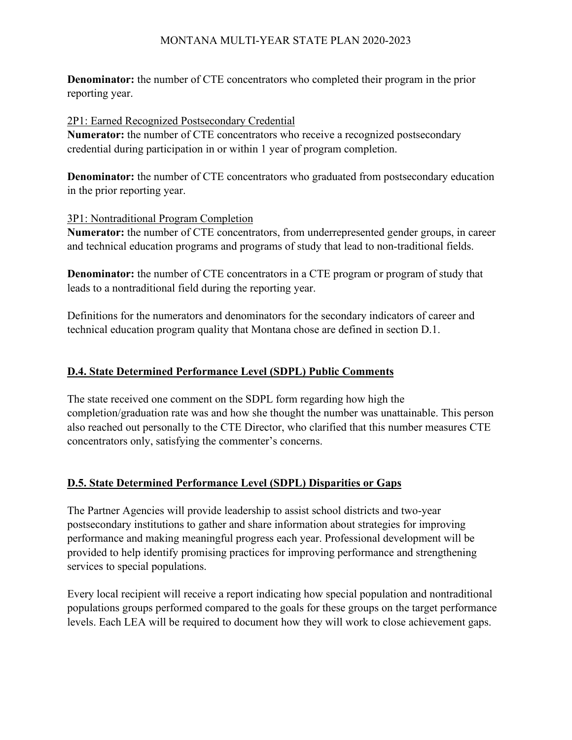**Denominator:** the number of CTE concentrators who completed their program in the prior reporting year.

### 2P1: Earned Recognized Postsecondary Credential

**Numerator:** the number of CTE concentrators who receive a recognized postsecondary credential during participation in or within 1 year of program completion.

**Denominator:** the number of CTE concentrators who graduated from postsecondary education in the prior reporting year.

### 3P1: Nontraditional Program Completion

**Numerator:** the number of CTE concentrators, from underrepresented gender groups, in career and technical education programs and programs of study that lead to non-traditional fields.

**Denominator:** the number of CTE concentrators in a CTE program or program of study that leads to a nontraditional field during the reporting year.

Definitions for the numerators and denominators for the secondary indicators of career and technical education program quality that Montana chose are defined in section D.1.

## **D.4. State Determined Performance Level (SDPL) Public Comments**

The state received one comment on the SDPL form regarding how high the completion/graduation rate was and how she thought the number was unattainable. This person also reached out personally to the CTE Director, who clarified that this number measures CTE concentrators only, satisfying the commenter's concerns.

## **D.5. State Determined Performance Level (SDPL) Disparities or Gaps**

The Partner Agencies will provide leadership to assist school districts and two-year postsecondary institutions to gather and share information about strategies for improving performance and making meaningful progress each year. Professional development will be provided to help identify promising practices for improving performance and strengthening services to special populations.

Every local recipient will receive a report indicating how special population and nontraditional populations groups performed compared to the goals for these groups on the target performance levels. Each LEA will be required to document how they will work to close achievement gaps.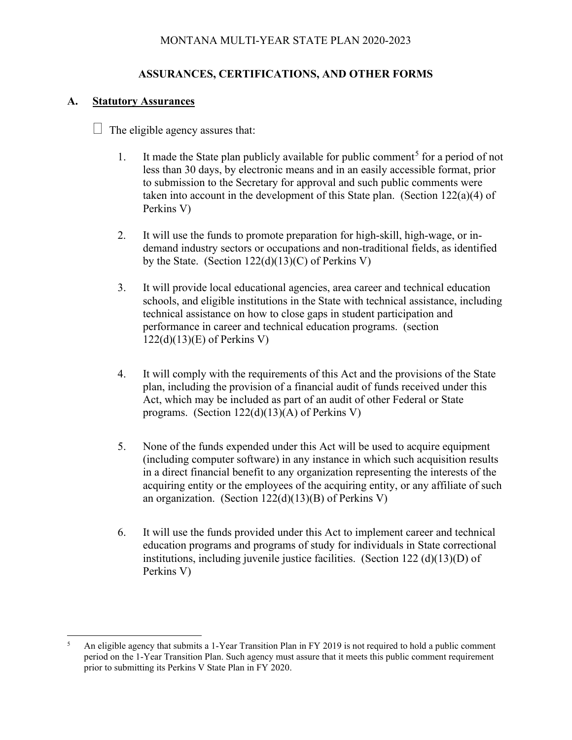# **ASSURANCES, CERTIFICATIONS, AND OTHER FORMS**

## **A. Statutory Assurances**

 $\Box$  The eligible agency assures that:

- 1. It made the State plan publicly available for public comment<sup>[5](#page-52-0)</sup> for a period of not less than 30 days, by electronic means and in an easily accessible format, prior to submission to the Secretary for approval and such public comments were taken into account in the development of this State plan. (Section  $122(a)(4)$  of Perkins V)
- 2. It will use the funds to promote preparation for high-skill, high-wage, or indemand industry sectors or occupations and non-traditional fields, as identified by the State. (Section  $122(d)(13)(C)$  of Perkins V)
- 3. It will provide local educational agencies, area career and technical education schools, and eligible institutions in the State with technical assistance, including technical assistance on how to close gaps in student participation and performance in career and technical education programs. (section 122(d)(13)(E) of Perkins V)
- 4. It will comply with the requirements of this Act and the provisions of the State plan, including the provision of a financial audit of funds received under this Act, which may be included as part of an audit of other Federal or State programs. (Section 122(d)(13)(A) of Perkins V)
- 5. None of the funds expended under this Act will be used to acquire equipment (including computer software) in any instance in which such acquisition results in a direct financial benefit to any organization representing the interests of the acquiring entity or the employees of the acquiring entity, or any affiliate of such an organization. (Section 122(d)(13)(B) of Perkins V)
- 6. It will use the funds provided under this Act to implement career and technical education programs and programs of study for individuals in State correctional institutions, including juvenile justice facilities. (Section 122 (d)(13)(D) of Perkins V)

<span id="page-52-0"></span><sup>&</sup>lt;sup>5</sup> An eligible agency that submits a 1-Year Transition Plan in FY 2019 is not required to hold a public comment period on the 1-Year Transition Plan. Such agency must assure that it meets this public comment requirement prior to submitting its Perkins V State Plan in FY 2020.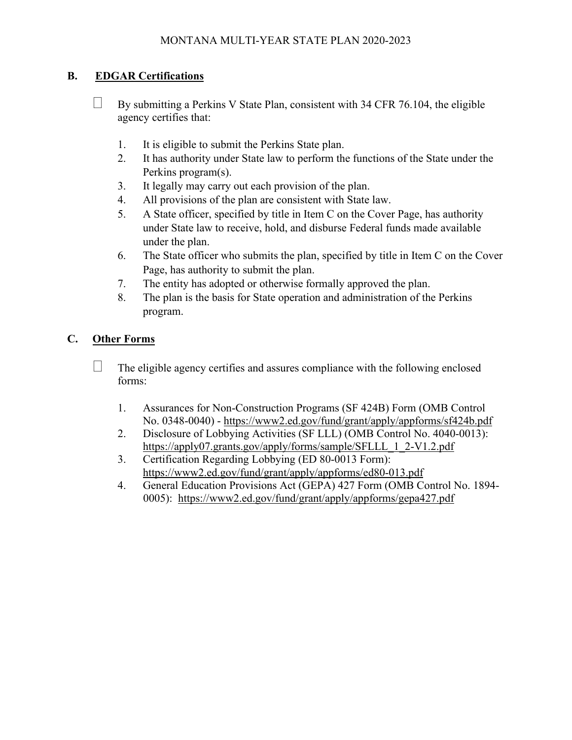# **B. EDGAR Certifications**

- $\Box$  By submitting a Perkins V State Plan, consistent with 34 CFR 76.104, the eligible agency certifies that:
	- 1. It is eligible to submit the Perkins State plan.
	- 2. It has authority under State law to perform the functions of the State under the Perkins program(s).
	- 3. It legally may carry out each provision of the plan.
	- 4. All provisions of the plan are consistent with State law.
	- 5. A State officer, specified by title in Item C on the Cover Page, has authority under State law to receive, hold, and disburse Federal funds made available under the plan.
	- 6. The State officer who submits the plan, specified by title in Item C on the Cover Page, has authority to submit the plan.
	- 7. The entity has adopted or otherwise formally approved the plan.
	- 8. The plan is the basis for State operation and administration of the Perkins program.

## **C. Other Forms**

- $\Box$  The eligible agency certifies and assures compliance with the following enclosed forms:
	- 1. Assurances for Non-Construction Programs (SF 424B) Form (OMB Control No. 0348-0040) - <https://www2.ed.gov/fund/grant/apply/appforms/sf424b.pdf>
	- 2. Disclosure of Lobbying Activities (SF LLL) (OMB Control No. 4040-0013): [https://apply07.grants.gov/apply/forms/sample/SFLLL\\_1\\_2-V1.2.pdf](https://apply07.grants.gov/apply/forms/sample/SFLLL_1_2-V1.2.pdf)
	- 3. Certification Regarding Lobbying (ED 80-0013 Form): <https://www2.ed.gov/fund/grant/apply/appforms/ed80-013.pdf>
	- 4. General Education Provisions Act (GEPA) 427 Form (OMB Control No. 1894- 0005): <https://www2.ed.gov/fund/grant/apply/appforms/gepa427.pdf>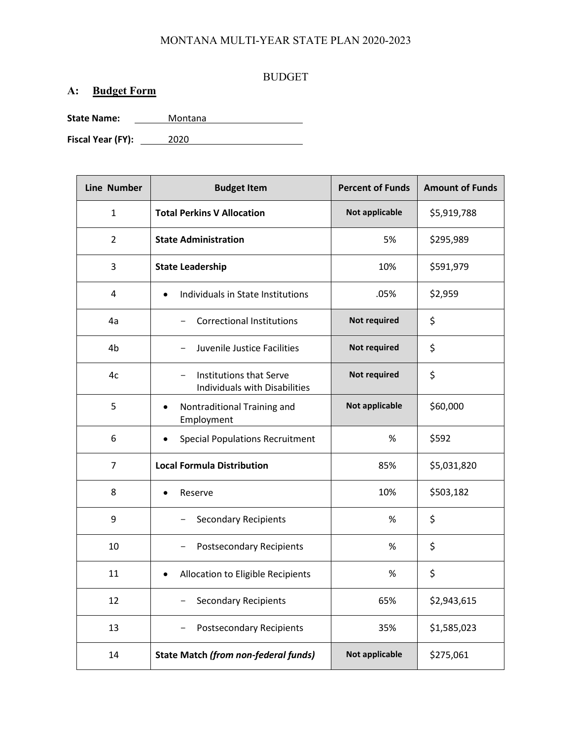#### BUDGET

# **A: Budget Form**

**State Name:** Montana

**Fiscal Year (FY):** 2020

| <b>Line Number</b> | <b>Budget Item</b>                                       | <b>Percent of Funds</b> | <b>Amount of Funds</b> |
|--------------------|----------------------------------------------------------|-------------------------|------------------------|
| 1                  | <b>Total Perkins V Allocation</b>                        | <b>Not applicable</b>   | \$5,919,788            |
| $\overline{2}$     | <b>State Administration</b>                              | 5%                      | \$295,989              |
| 3                  | <b>State Leadership</b>                                  | 10%                     | \$591,979              |
| 4                  | Individuals in State Institutions<br>$\bullet$           | .05%                    | \$2,959                |
| 4a                 | <b>Correctional Institutions</b>                         | Not required            | \$                     |
| 4b                 | Juvenile Justice Facilities<br>$\qquad \qquad -$         | Not required            | \$                     |
| 4c                 | Institutions that Serve<br>Individuals with Disabilities | Not required            | \$                     |
| 5                  | Nontraditional Training and<br>Employment                | <b>Not applicable</b>   | \$60,000               |
| 6                  | <b>Special Populations Recruitment</b><br>$\bullet$      | %                       | \$592                  |
| 7                  | <b>Local Formula Distribution</b>                        | 85%                     | \$5,031,820            |
| 8                  | Reserve                                                  | 10%                     | \$503,182              |
| 9                  | <b>Secondary Recipients</b>                              | %                       | \$                     |
| 10                 | <b>Postsecondary Recipients</b>                          | $\%$                    | \$                     |
| 11                 | Allocation to Eligible Recipients<br>$\bullet$           | %                       | \$                     |
| 12                 | <b>Secondary Recipients</b>                              | 65%                     | \$2,943,615            |
| 13                 | Postsecondary Recipients                                 | 35%                     | \$1,585,023            |
| 14                 | State Match (from non-federal funds)                     | Not applicable          | \$275,061              |